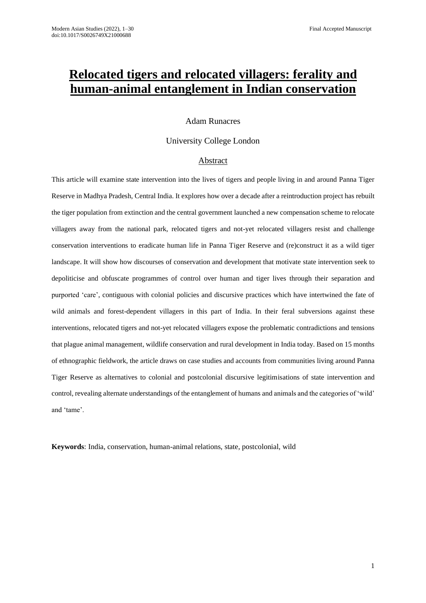# **Relocated tigers and relocated villagers: ferality and human-animal entanglement in Indian conservation**

# Adam Runacres

# University College London

# Abstract

This article will examine state intervention into the lives of tigers and people living in and around Panna Tiger Reserve in Madhya Pradesh, Central India. It explores how over a decade after a reintroduction project has rebuilt the tiger population from extinction and the central government launched a new compensation scheme to relocate villagers away from the national park, relocated tigers and not-yet relocated villagers resist and challenge conservation interventions to eradicate human life in Panna Tiger Reserve and (re)construct it as a wild tiger landscape. It will show how discourses of conservation and development that motivate state intervention seek to depoliticise and obfuscate programmes of control over human and tiger lives through their separation and purported 'care', contiguous with colonial policies and discursive practices which have intertwined the fate of wild animals and forest-dependent villagers in this part of India. In their feral subversions against these interventions, relocated tigers and not-yet relocated villagers expose the problematic contradictions and tensions that plague animal management, wildlife conservation and rural development in India today. Based on 15 months of ethnographic fieldwork, the article draws on case studies and accounts from communities living around Panna Tiger Reserve as alternatives to colonial and postcolonial discursive legitimisations of state intervention and control, revealing alternate understandings of the entanglement of humans and animals and the categories of 'wild' and 'tame'.

**Keywords**: India, conservation, human-animal relations, state, postcolonial, wild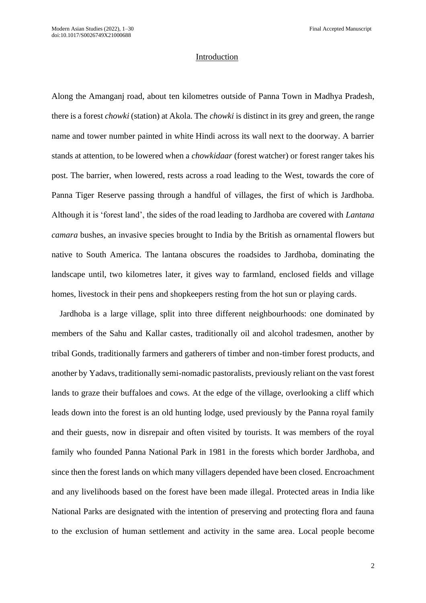#### Introduction

Along the Amanganj road, about ten kilometres outside of Panna Town in Madhya Pradesh, there is a forest *chowki* (station) at Akola. The *chowki* is distinct in its grey and green, the range name and tower number painted in white Hindi across its wall next to the doorway. A barrier stands at attention, to be lowered when a *chowkidaar* (forest watcher) or forest ranger takes his post. The barrier, when lowered, rests across a road leading to the West, towards the core of Panna Tiger Reserve passing through a handful of villages, the first of which is Jardhoba. Although it is 'forest land', the sides of the road leading to Jardhoba are covered with *Lantana camara* bushes, an invasive species brought to India by the British as ornamental flowers but native to South America. The lantana obscures the roadsides to Jardhoba, dominating the landscape until, two kilometres later, it gives way to farmland, enclosed fields and village homes, livestock in their pens and shopkeepers resting from the hot sun or playing cards.

Jardhoba is a large village, split into three different neighbourhoods: one dominated by members of the Sahu and Kallar castes, traditionally oil and alcohol tradesmen, another by tribal Gonds, traditionally farmers and gatherers of timber and non-timber forest products, and another by Yadavs, traditionally semi-nomadic pastoralists, previously reliant on the vast forest lands to graze their buffaloes and cows. At the edge of the village, overlooking a cliff which leads down into the forest is an old hunting lodge, used previously by the Panna royal family and their guests, now in disrepair and often visited by tourists. It was members of the royal family who founded Panna National Park in 1981 in the forests which border Jardhoba, and since then the forest lands on which many villagers depended have been closed. Encroachment and any livelihoods based on the forest have been made illegal. Protected areas in India like National Parks are designated with the intention of preserving and protecting flora and fauna to the exclusion of human settlement and activity in the same area. Local people become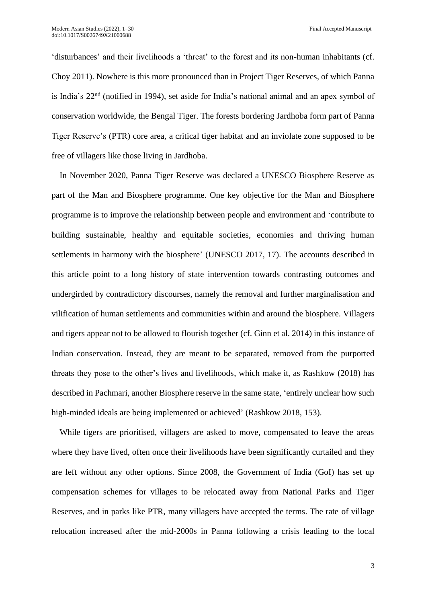'disturbances' and their livelihoods a 'threat' to the forest and its non-human inhabitants (cf. Choy 2011). Nowhere is this more pronounced than in Project Tiger Reserves, of which Panna is India's 22nd (notified in 1994), set aside for India's national animal and an apex symbol of conservation worldwide, the Bengal Tiger. The forests bordering Jardhoba form part of Panna Tiger Reserve's (PTR) core area, a critical tiger habitat and an inviolate zone supposed to be free of villagers like those living in Jardhoba.

In November 2020, Panna Tiger Reserve was declared a UNESCO Biosphere Reserve as part of the Man and Biosphere programme. One key objective for the Man and Biosphere programme is to improve the relationship between people and environment and 'contribute to building sustainable, healthy and equitable societies, economies and thriving human settlements in harmony with the biosphere' (UNESCO 2017, 17). The accounts described in this article point to a long history of state intervention towards contrasting outcomes and undergirded by contradictory discourses, namely the removal and further marginalisation and vilification of human settlements and communities within and around the biosphere. Villagers and tigers appear not to be allowed to flourish together (cf. Ginn et al. 2014) in this instance of Indian conservation. Instead, they are meant to be separated, removed from the purported threats they pose to the other's lives and livelihoods, which make it, as Rashkow (2018) has described in Pachmari, another Biosphere reserve in the same state, 'entirely unclear how such high-minded ideals are being implemented or achieved' (Rashkow 2018, 153).

While tigers are prioritised, villagers are asked to move, compensated to leave the areas where they have lived, often once their livelihoods have been significantly curtailed and they are left without any other options. Since 2008, the Government of India (GoI) has set up compensation schemes for villages to be relocated away from National Parks and Tiger Reserves, and in parks like PTR, many villagers have accepted the terms. The rate of village relocation increased after the mid-2000s in Panna following a crisis leading to the local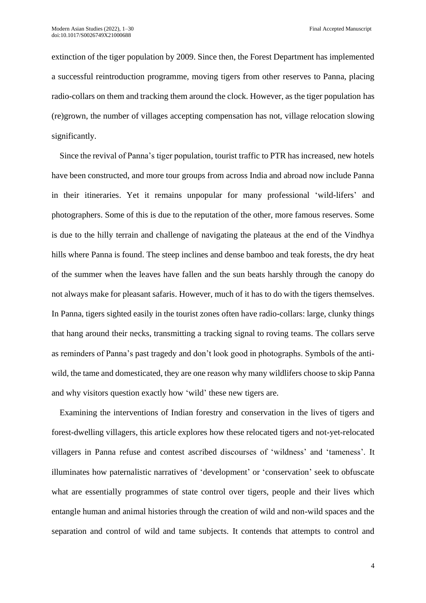extinction of the tiger population by 2009. Since then, the Forest Department has implemented a successful reintroduction programme, moving tigers from other reserves to Panna, placing radio-collars on them and tracking them around the clock. However, as the tiger population has (re)grown, the number of villages accepting compensation has not, village relocation slowing significantly.

Since the revival of Panna's tiger population, tourist traffic to PTR has increased, new hotels have been constructed, and more tour groups from across India and abroad now include Panna in their itineraries. Yet it remains unpopular for many professional 'wild-lifers' and photographers. Some of this is due to the reputation of the other, more famous reserves. Some is due to the hilly terrain and challenge of navigating the plateaus at the end of the Vindhya hills where Panna is found. The steep inclines and dense bamboo and teak forests, the dry heat of the summer when the leaves have fallen and the sun beats harshly through the canopy do not always make for pleasant safaris. However, much of it has to do with the tigers themselves. In Panna, tigers sighted easily in the tourist zones often have radio-collars: large, clunky things that hang around their necks, transmitting a tracking signal to roving teams. The collars serve as reminders of Panna's past tragedy and don't look good in photographs. Symbols of the antiwild, the tame and domesticated, they are one reason why many wildlifers choose to skip Panna and why visitors question exactly how 'wild' these new tigers are.

Examining the interventions of Indian forestry and conservation in the lives of tigers and forest-dwelling villagers, this article explores how these relocated tigers and not-yet-relocated villagers in Panna refuse and contest ascribed discourses of 'wildness' and 'tameness'. It illuminates how paternalistic narratives of 'development' or 'conservation' seek to obfuscate what are essentially programmes of state control over tigers, people and their lives which entangle human and animal histories through the creation of wild and non-wild spaces and the separation and control of wild and tame subjects. It contends that attempts to control and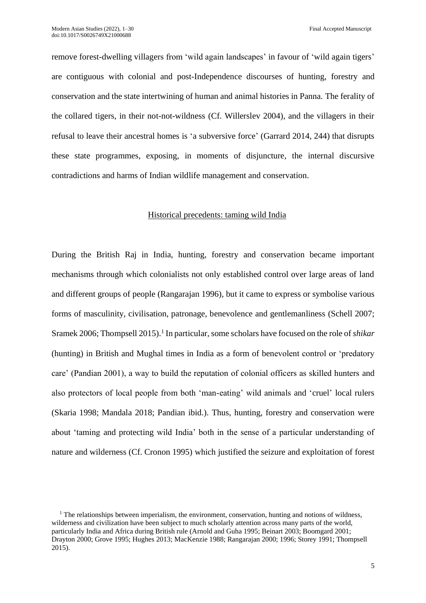remove forest-dwelling villagers from 'wild again landscapes' in favour of 'wild again tigers' are contiguous with colonial and post-Independence discourses of hunting, forestry and conservation and the state intertwining of human and animal histories in Panna. The ferality of the collared tigers, in their not-not-wildness (Cf. Willerslev 2004), and the villagers in their refusal to leave their ancestral homes is 'a subversive force' (Garrard 2014, 244) that disrupts these state programmes, exposing, in moments of disjuncture, the internal discursive contradictions and harms of Indian wildlife management and conservation.

# Historical precedents: taming wild India

During the British Raj in India, hunting, forestry and conservation became important mechanisms through which colonialists not only established control over large areas of land and different groups of people (Rangarajan 1996), but it came to express or symbolise various forms of masculinity, civilisation, patronage, benevolence and gentlemanliness (Schell 2007; Sramek 2006; Thompsell 2015).<sup>1</sup> In particular, some scholars have focused on the role of *shikar* (hunting) in British and Mughal times in India as a form of benevolent control or 'predatory care' (Pandian 2001), a way to build the reputation of colonial officers as skilled hunters and also protectors of local people from both 'man-eating' wild animals and 'cruel' local rulers (Skaria 1998; Mandala 2018; Pandian ibid.). Thus, hunting, forestry and conservation were about 'taming and protecting wild India' both in the sense of a particular understanding of nature and wilderness (Cf. Cronon 1995) which justified the seizure and exploitation of forest

 $1$ . The relationships between imperialism, the environment, conservation, hunting and notions of wildness, wilderness and civilization have been subject to much scholarly attention across many parts of the world, particularly India and Africa during British rule (Arnold and Guha 1995; Beinart 2003; Boomgard 2001; Drayton 2000; Grove 1995; Hughes 2013; MacKenzie 1988; Rangarajan 2000; 1996; Storey 1991; Thompsell 2015).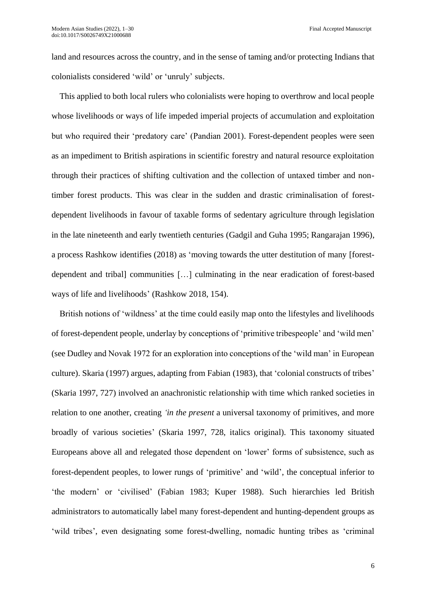land and resources across the country, and in the sense of taming and/or protecting Indians that colonialists considered 'wild' or 'unruly' subjects.

This applied to both local rulers who colonialists were hoping to overthrow and local people whose livelihoods or ways of life impeded imperial projects of accumulation and exploitation but who required their 'predatory care' (Pandian 2001). Forest-dependent peoples were seen as an impediment to British aspirations in scientific forestry and natural resource exploitation through their practices of shifting cultivation and the collection of untaxed timber and nontimber forest products. This was clear in the sudden and drastic criminalisation of forestdependent livelihoods in favour of taxable forms of sedentary agriculture through legislation in the late nineteenth and early twentieth centuries (Gadgil and Guha 1995; Rangarajan 1996), a process Rashkow identifies (2018) as 'moving towards the utter destitution of many [forestdependent and tribal] communities […] culminating in the near eradication of forest-based ways of life and livelihoods' (Rashkow 2018, 154).

British notions of 'wildness' at the time could easily map onto the lifestyles and livelihoods of forest-dependent people, underlay by conceptions of 'primitive tribespeople' and 'wild men' (see Dudley and Novak 1972 for an exploration into conceptions of the 'wild man' in European culture). Skaria (1997) argues, adapting from Fabian (1983), that 'colonial constructs of tribes' (Skaria 1997, 727) involved an anachronistic relationship with time which ranked societies in relation to one another, creating *'in the present* a universal taxonomy of primitives, and more broadly of various societies' (Skaria 1997, 728, italics original). This taxonomy situated Europeans above all and relegated those dependent on 'lower' forms of subsistence, such as forest-dependent peoples, to lower rungs of 'primitive' and 'wild', the conceptual inferior to 'the modern' or 'civilised' (Fabian 1983; Kuper 1988). Such hierarchies led British administrators to automatically label many forest-dependent and hunting-dependent groups as 'wild tribes', even designating some forest-dwelling, nomadic hunting tribes as 'criminal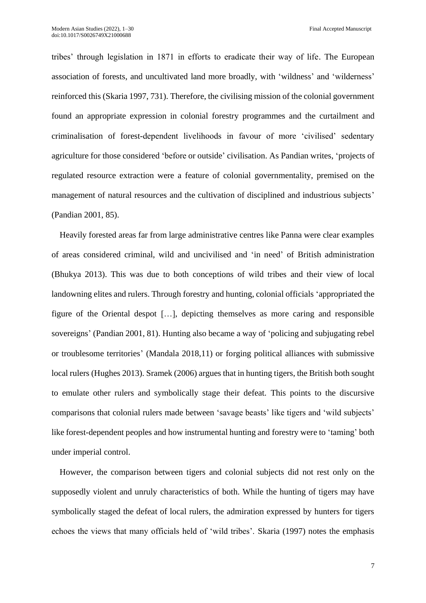tribes' through legislation in 1871 in efforts to eradicate their way of life. The European association of forests, and uncultivated land more broadly, with 'wildness' and 'wilderness' reinforced this (Skaria 1997, 731). Therefore, the civilising mission of the colonial government found an appropriate expression in colonial forestry programmes and the curtailment and criminalisation of forest-dependent livelihoods in favour of more 'civilised' sedentary agriculture for those considered 'before or outside' civilisation. As Pandian writes, 'projects of regulated resource extraction were a feature of colonial governmentality, premised on the management of natural resources and the cultivation of disciplined and industrious subjects' (Pandian 2001, 85).

Heavily forested areas far from large administrative centres like Panna were clear examples of areas considered criminal, wild and uncivilised and 'in need' of British administration (Bhukya 2013). This was due to both conceptions of wild tribes and their view of local landowning elites and rulers. Through forestry and hunting, colonial officials 'appropriated the figure of the Oriental despot […], depicting themselves as more caring and responsible sovereigns' (Pandian 2001, 81). Hunting also became a way of 'policing and subjugating rebel or troublesome territories' (Mandala 2018,11) or forging political alliances with submissive local rulers (Hughes 2013). Sramek (2006) argues that in hunting tigers, the British both sought to emulate other rulers and symbolically stage their defeat. This points to the discursive comparisons that colonial rulers made between 'savage beasts' like tigers and 'wild subjects' like forest-dependent peoples and how instrumental hunting and forestry were to 'taming' both under imperial control.

However, the comparison between tigers and colonial subjects did not rest only on the supposedly violent and unruly characteristics of both. While the hunting of tigers may have symbolically staged the defeat of local rulers, the admiration expressed by hunters for tigers echoes the views that many officials held of 'wild tribes'. Skaria (1997) notes the emphasis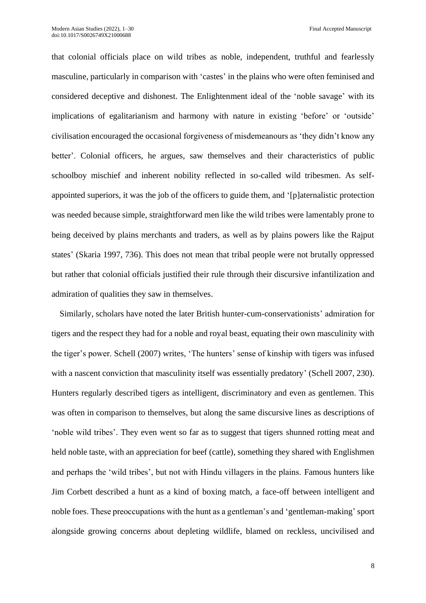that colonial officials place on wild tribes as noble, independent, truthful and fearlessly masculine, particularly in comparison with 'castes' in the plains who were often feminised and considered deceptive and dishonest. The Enlightenment ideal of the 'noble savage' with its implications of egalitarianism and harmony with nature in existing 'before' or 'outside' civilisation encouraged the occasional forgiveness of misdemeanours as 'they didn't know any better'. Colonial officers, he argues, saw themselves and their characteristics of public schoolboy mischief and inherent nobility reflected in so-called wild tribesmen. As selfappointed superiors, it was the job of the officers to guide them, and '[p]aternalistic protection was needed because simple, straightforward men like the wild tribes were lamentably prone to being deceived by plains merchants and traders, as well as by plains powers like the Rajput states' (Skaria 1997, 736). This does not mean that tribal people were not brutally oppressed but rather that colonial officials justified their rule through their discursive infantilization and admiration of qualities they saw in themselves.

Similarly, scholars have noted the later British hunter-cum-conservationists' admiration for tigers and the respect they had for a noble and royal beast, equating their own masculinity with the tiger's power. Schell (2007) writes, 'The hunters' sense of kinship with tigers was infused with a nascent conviction that masculinity itself was essentially predatory' (Schell 2007, 230). Hunters regularly described tigers as intelligent, discriminatory and even as gentlemen. This was often in comparison to themselves, but along the same discursive lines as descriptions of 'noble wild tribes'. They even went so far as to suggest that tigers shunned rotting meat and held noble taste, with an appreciation for beef (cattle), something they shared with Englishmen and perhaps the 'wild tribes', but not with Hindu villagers in the plains. Famous hunters like Jim Corbett described a hunt as a kind of boxing match, a face-off between intelligent and noble foes. These preoccupations with the hunt as a gentleman's and 'gentleman-making' sport alongside growing concerns about depleting wildlife, blamed on reckless, uncivilised and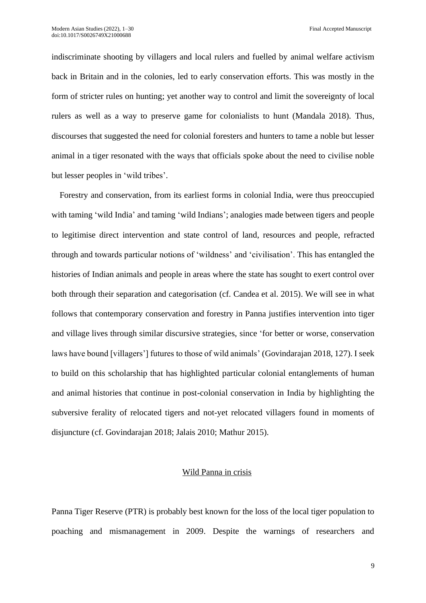indiscriminate shooting by villagers and local rulers and fuelled by animal welfare activism back in Britain and in the colonies, led to early conservation efforts. This was mostly in the form of stricter rules on hunting; yet another way to control and limit the sovereignty of local rulers as well as a way to preserve game for colonialists to hunt (Mandala 2018). Thus, discourses that suggested the need for colonial foresters and hunters to tame a noble but lesser animal in a tiger resonated with the ways that officials spoke about the need to civilise noble but lesser peoples in 'wild tribes'.

Forestry and conservation, from its earliest forms in colonial India, were thus preoccupied with taming 'wild India' and taming 'wild Indians'; analogies made between tigers and people to legitimise direct intervention and state control of land, resources and people, refracted through and towards particular notions of 'wildness' and 'civilisation'. This has entangled the histories of Indian animals and people in areas where the state has sought to exert control over both through their separation and categorisation (cf. Candea et al. 2015). We will see in what follows that contemporary conservation and forestry in Panna justifies intervention into tiger and village lives through similar discursive strategies, since 'for better or worse, conservation laws have bound [villagers'] futures to those of wild animals' (Govindarajan 2018, 127). I seek to build on this scholarship that has highlighted particular colonial entanglements of human and animal histories that continue in post-colonial conservation in India by highlighting the subversive ferality of relocated tigers and not-yet relocated villagers found in moments of disjuncture (cf. Govindarajan 2018; Jalais 2010; Mathur 2015).

#### Wild Panna in crisis

Panna Tiger Reserve (PTR) is probably best known for the loss of the local tiger population to poaching and mismanagement in 2009. Despite the warnings of researchers and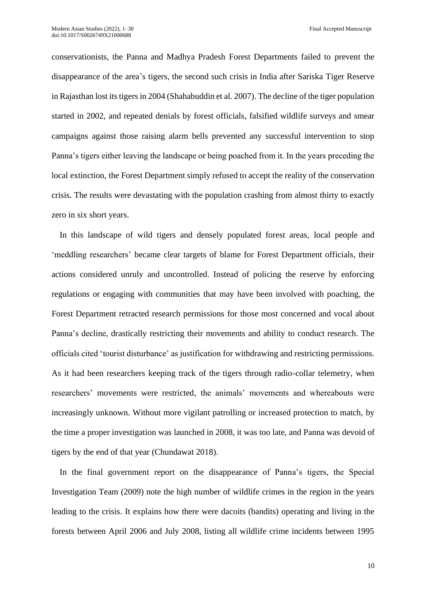conservationists, the Panna and Madhya Pradesh Forest Departments failed to prevent the disappearance of the area's tigers, the second such crisis in India after Sariska Tiger Reserve in Rajasthan lost its tigers in 2004 (Shahabuddin et al. 2007). The decline of the tiger population started in 2002, and repeated denials by forest officials, falsified wildlife surveys and smear campaigns against those raising alarm bells prevented any successful intervention to stop Panna's tigers either leaving the landscape or being poached from it. In the years preceding the local extinction, the Forest Department simply refused to accept the reality of the conservation crisis. The results were devastating with the population crashing from almost thirty to exactly zero in six short years.

In this landscape of wild tigers and densely populated forest areas, local people and 'meddling researchers' became clear targets of blame for Forest Department officials, their actions considered unruly and uncontrolled. Instead of policing the reserve by enforcing regulations or engaging with communities that may have been involved with poaching, the Forest Department retracted research permissions for those most concerned and vocal about Panna's decline, drastically restricting their movements and ability to conduct research. The officials cited 'tourist disturbance' as justification for withdrawing and restricting permissions. As it had been researchers keeping track of the tigers through radio-collar telemetry, when researchers' movements were restricted, the animals' movements and whereabouts were increasingly unknown. Without more vigilant patrolling or increased protection to match, by the time a proper investigation was launched in 2008, it was too late, and Panna was devoid of tigers by the end of that year (Chundawat 2018).

In the final government report on the disappearance of Panna's tigers, the Special Investigation Team (2009) note the high number of wildlife crimes in the region in the years leading to the crisis. It explains how there were dacoits (bandits) operating and living in the forests between April 2006 and July 2008, listing all wildlife crime incidents between 1995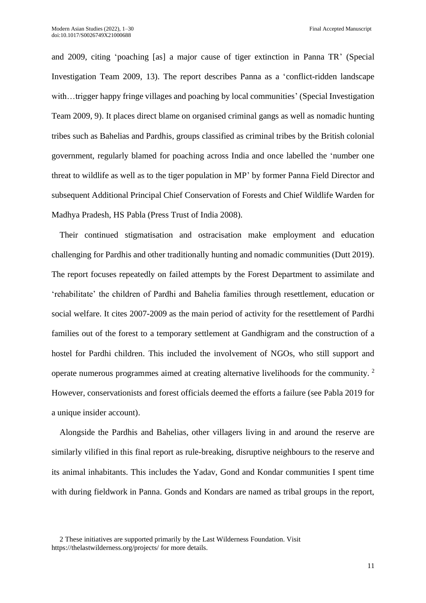and 2009, citing 'poaching [as] a major cause of tiger extinction in Panna TR' (Special Investigation Team 2009, 13). The report describes Panna as a 'conflict-ridden landscape with...trigger happy fringe villages and poaching by local communities' (Special Investigation Team 2009, 9). It places direct blame on organised criminal gangs as well as nomadic hunting tribes such as Bahelias and Pardhis, groups classified as criminal tribes by the British colonial government, regularly blamed for poaching across India and once labelled the 'number one threat to wildlife as well as to the tiger population in MP' by former Panna Field Director and subsequent Additional Principal Chief Conservation of Forests and Chief Wildlife Warden for Madhya Pradesh, HS Pabla (Press Trust of India 2008).

Their continued stigmatisation and ostracisation make employment and education challenging for Pardhis and other traditionally hunting and nomadic communities (Dutt 2019). The report focuses repeatedly on failed attempts by the Forest Department to assimilate and 'rehabilitate' the children of Pardhi and Bahelia families through resettlement, education or social welfare. It cites 2007-2009 as the main period of activity for the resettlement of Pardhi families out of the forest to a temporary settlement at Gandhigram and the construction of a hostel for Pardhi children. This included the involvement of NGOs, who still support and operate numerous programmes aimed at creating alternative livelihoods for the community. <sup>2</sup> However, conservationists and forest officials deemed the efforts a failure (see Pabla 2019 for a unique insider account).

Alongside the Pardhis and Bahelias, other villagers living in and around the reserve are similarly vilified in this final report as rule-breaking, disruptive neighbours to the reserve and its animal inhabitants. This includes the Yadav, Gond and Kondar communities I spent time with during fieldwork in Panna. Gonds and Kondars are named as tribal groups in the report,

<sup>2</sup> These initiatives are supported primarily by the Last Wilderness Foundation. Visit <https://thelastwilderness.org/projects/> for more details.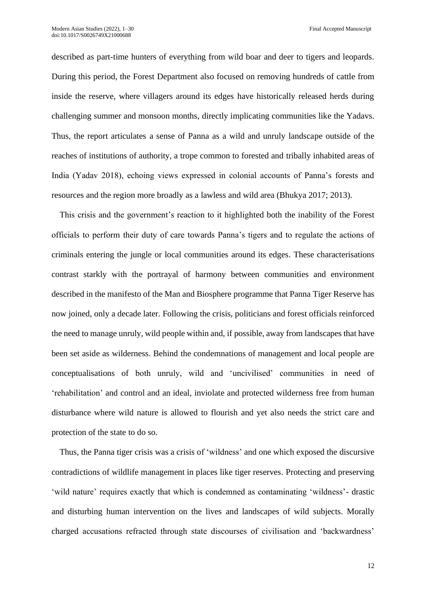described as part-time hunters of everything from wild boar and deer to tigers and leopards. During this period, the Forest Department also focused on removing hundreds of cattle from inside the reserve, where villagers around its edges have historically released herds during challenging summer and monsoon months, directly implicating communities like the Yadavs. Thus, the report articulates a sense of Panna as a wild and unruly landscape outside of the reaches of institutions of authority, a trope common to forested and tribally inhabited areas of India (Yadav 2018), echoing views expressed in colonial accounts of Panna's forests and resources and the region more broadly as a lawless and wild area (Bhukya 2017; 2013).

This crisis and the government's reaction to it highlighted both the inability of the Forest officials to perform their duty of care towards Panna's tigers and to regulate the actions of criminals entering the jungle or local communities around its edges. These characterisations contrast starkly with the portrayal of harmony between communities and environment described in the manifesto of the Man and Biosphere programme that Panna Tiger Reserve has now joined, only a decade later. Following the crisis, politicians and forest officials reinforced the need to manage unruly, wild people within and, if possible, away from landscapes that have been set aside as wilderness. Behind the condemnations of management and local people are conceptualisations of both unruly, wild and 'uncivilised' communities in need of 'rehabilitation' and control and an ideal, inviolate and protected wilderness free from human disturbance where wild nature is allowed to flourish and yet also needs the strict care and protection of the state to do so.

Thus, the Panna tiger crisis was a crisis of 'wildness' and one which exposed the discursive contradictions of wildlife management in places like tiger reserves. Protecting and preserving 'wild nature' requires exactly that which is condemned as contaminating 'wildness'- drastic and disturbing human intervention on the lives and landscapes of wild subjects. Morally charged accusations refracted through state discourses of civilisation and 'backwardness'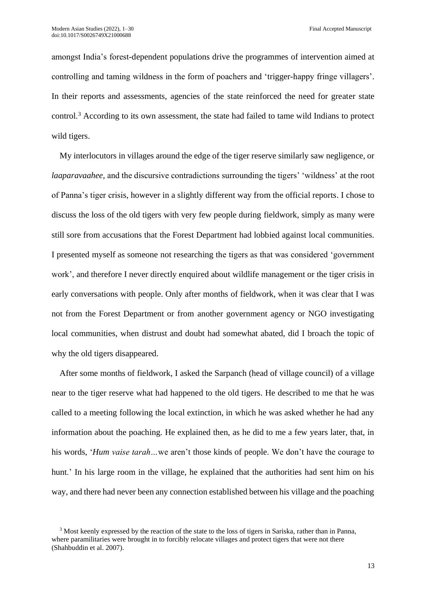amongst India's forest-dependent populations drive the programmes of intervention aimed at controlling and taming wildness in the form of poachers and 'trigger-happy fringe villagers'. In their reports and assessments, agencies of the state reinforced the need for greater state control.<sup>3</sup> According to its own assessment, the state had failed to tame wild Indians to protect wild tigers.

My interlocutors in villages around the edge of the tiger reserve similarly saw negligence, or *laaparavaahee,* and the discursive contradictions surrounding the tigers' 'wildness' at the root of Panna's tiger crisis, however in a slightly different way from the official reports. I chose to discuss the loss of the old tigers with very few people during fieldwork, simply as many were still sore from accusations that the Forest Department had lobbied against local communities. I presented myself as someone not researching the tigers as that was considered 'government work', and therefore I never directly enquired about wildlife management or the tiger crisis in early conversations with people. Only after months of fieldwork, when it was clear that I was not from the Forest Department or from another government agency or NGO investigating local communities, when distrust and doubt had somewhat abated, did I broach the topic of why the old tigers disappeared.

After some months of fieldwork, I asked the Sarpanch (head of village council) of a village near to the tiger reserve what had happened to the old tigers. He described to me that he was called to a meeting following the local extinction, in which he was asked whether he had any information about the poaching. He explained then, as he did to me a few years later, that, in his words, '*Hum vaise tarah…*we aren't those kinds of people. We don't have the courage to hunt.' In his large room in the village, he explained that the authorities had sent him on his way, and there had never been any connection established between his village and the poaching

<sup>3</sup> Most keenly expressed by the reaction of the state to the loss of tigers in Sariska, rather than in Panna, where paramilitaries were brought in to forcibly relocate villages and protect tigers that were not there (Shahbuddin et al. 2007).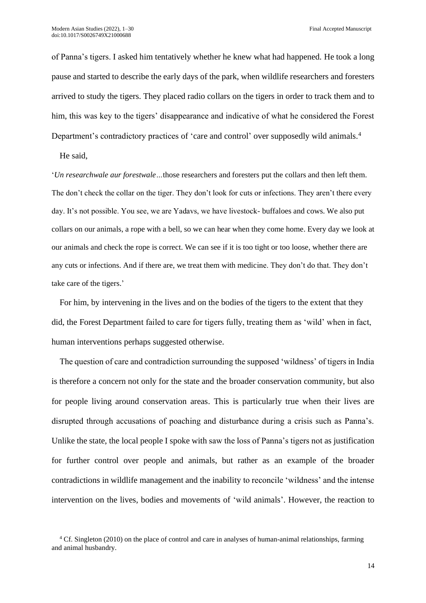of Panna's tigers. I asked him tentatively whether he knew what had happened. He took a long pause and started to describe the early days of the park, when wildlife researchers and foresters arrived to study the tigers. They placed radio collars on the tigers in order to track them and to him, this was key to the tigers' disappearance and indicative of what he considered the Forest Department's contradictory practices of 'care and control' over supposedly wild animals.<sup>4</sup>

He said,

'*Un researchwale aur forestwale…*those researchers and foresters put the collars and then left them. The don't check the collar on the tiger. They don't look for cuts or infections. They aren't there every day. It's not possible. You see, we are Yadavs, we have livestock- buffaloes and cows. We also put collars on our animals, a rope with a bell, so we can hear when they come home. Every day we look at our animals and check the rope is correct. We can see if it is too tight or too loose, whether there are any cuts or infections. And if there are, we treat them with medicine. They don't do that. They don't take care of the tigers.'

For him, by intervening in the lives and on the bodies of the tigers to the extent that they did, the Forest Department failed to care for tigers fully, treating them as 'wild' when in fact, human interventions perhaps suggested otherwise.

The question of care and contradiction surrounding the supposed 'wildness' of tigers in India is therefore a concern not only for the state and the broader conservation community, but also for people living around conservation areas. This is particularly true when their lives are disrupted through accusations of poaching and disturbance during a crisis such as Panna's. Unlike the state, the local people I spoke with saw the loss of Panna's tigers not as justification for further control over people and animals, but rather as an example of the broader contradictions in wildlife management and the inability to reconcile 'wildness' and the intense intervention on the lives, bodies and movements of 'wild animals'. However, the reaction to

<sup>4</sup> Cf. Singleton (2010) on the place of control and care in analyses of human-animal relationships, farming and animal husbandry.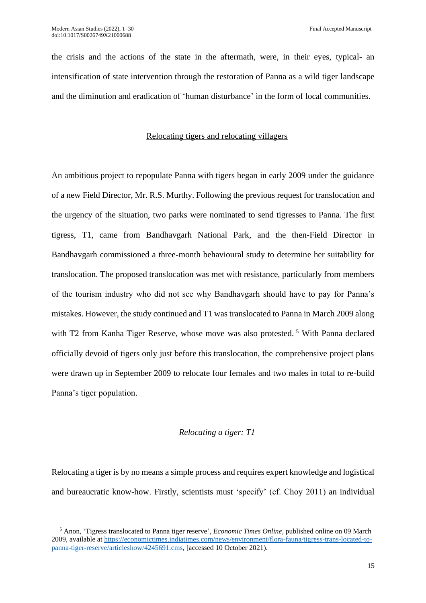the crisis and the actions of the state in the aftermath, were, in their eyes, typical- an intensification of state intervention through the restoration of Panna as a wild tiger landscape and the diminution and eradication of 'human disturbance' in the form of local communities.

# Relocating tigers and relocating villagers

An ambitious project to repopulate Panna with tigers began in early 2009 under the guidance of a new Field Director, Mr. R.S. Murthy. Following the previous request for translocation and the urgency of the situation, two parks were nominated to send tigresses to Panna. The first tigress, T1, came from Bandhavgarh National Park, and the then-Field Director in Bandhavgarh commissioned a three-month behavioural study to determine her suitability for translocation. The proposed translocation was met with resistance, particularly from members of the tourism industry who did not see why Bandhavgarh should have to pay for Panna's mistakes. However, the study continued and T1 was translocated to Panna in March 2009 along with T2 from Kanha Tiger Reserve, whose move was also protested.<sup>5</sup> With Panna declared officially devoid of tigers only just before this translocation, the comprehensive project plans were drawn up in September 2009 to relocate four females and two males in total to re-build Panna's tiger population.

## *Relocating a tiger: T1*

Relocating a tiger is by no means a simple process and requires expert knowledge and logistical and bureaucratic know-how. Firstly, scientists must 'specify' (cf. Choy 2011) an individual

<sup>5</sup> Anon, 'Tigress translocated to Panna tiger reserve', *Economic Times Online,* published online on 09 March 2009, available a[t https://economictimes.indiatimes.com/news/environment/flora-fauna/tigress-trans-located-to](https://economictimes.indiatimes.com/news/environment/flora-fauna/tigress-trans-located-to-panna-tiger-reserve/articleshow/4245691.cms)[panna-tiger-reserve/articleshow/4245691.cms,](https://economictimes.indiatimes.com/news/environment/flora-fauna/tigress-trans-located-to-panna-tiger-reserve/articleshow/4245691.cms) [accessed 10 October 2021).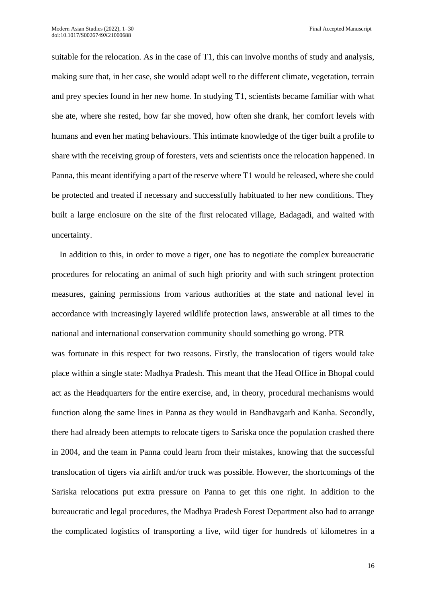suitable for the relocation. As in the case of T1, this can involve months of study and analysis, making sure that, in her case, she would adapt well to the different climate, vegetation, terrain and prey species found in her new home. In studying T1, scientists became familiar with what she ate, where she rested, how far she moved, how often she drank, her comfort levels with humans and even her mating behaviours. This intimate knowledge of the tiger built a profile to share with the receiving group of foresters, vets and scientists once the relocation happened. In Panna, this meant identifying a part of the reserve where T1 would be released, where she could be protected and treated if necessary and successfully habituated to her new conditions. They built a large enclosure on the site of the first relocated village, Badagadi, and waited with uncertainty.

In addition to this, in order to move a tiger, one has to negotiate the complex bureaucratic procedures for relocating an animal of such high priority and with such stringent protection measures, gaining permissions from various authorities at the state and national level in accordance with increasingly layered wildlife protection laws, answerable at all times to the national and international conservation community should something go wrong. PTR was fortunate in this respect for two reasons. Firstly, the translocation of tigers would take place within a single state: Madhya Pradesh. This meant that the Head Office in Bhopal could act as the Headquarters for the entire exercise, and, in theory, procedural mechanisms would function along the same lines in Panna as they would in Bandhavgarh and Kanha. Secondly, there had already been attempts to relocate tigers to Sariska once the population crashed there in 2004, and the team in Panna could learn from their mistakes, knowing that the successful translocation of tigers via airlift and/or truck was possible. However, the shortcomings of the Sariska relocations put extra pressure on Panna to get this one right. In addition to the bureaucratic and legal procedures, the Madhya Pradesh Forest Department also had to arrange the complicated logistics of transporting a live, wild tiger for hundreds of kilometres in a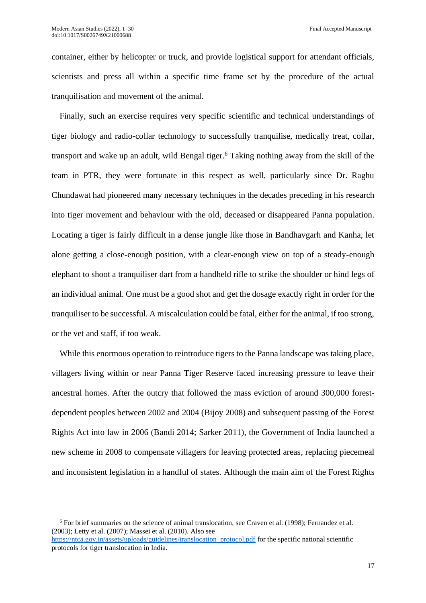container, either by helicopter or truck, and provide logistical support for attendant officials, scientists and press all within a specific time frame set by the procedure of the actual tranquilisation and movement of the animal.

Finally, such an exercise requires very specific scientific and technical understandings of tiger biology and radio-collar technology to successfully tranquilise, medically treat, collar, transport and wake up an adult, wild Bengal tiger.<sup>6</sup> Taking nothing away from the skill of the team in PTR, they were fortunate in this respect as well, particularly since Dr. Raghu Chundawat had pioneered many necessary techniques in the decades preceding in his research into tiger movement and behaviour with the old, deceased or disappeared Panna population. Locating a tiger is fairly difficult in a dense jungle like those in Bandhavgarh and Kanha, let alone getting a close-enough position, with a clear-enough view on top of a steady-enough elephant to shoot a tranquiliser dart from a handheld rifle to strike the shoulder or hind legs of an individual animal. One must be a good shot and get the dosage exactly right in order for the tranquiliser to be successful. A miscalculation could be fatal, either for the animal, if too strong, or the vet and staff, if too weak.

While this enormous operation to reintroduce tigers to the Panna landscape was taking place, villagers living within or near Panna Tiger Reserve faced increasing pressure to leave their ancestral homes. After the outcry that followed the mass eviction of around 300,000 forestdependent peoples between 2002 and 2004 (Bijoy 2008) and subsequent passing of the Forest Rights Act into law in 2006 (Bandi 2014; Sarker 2011), the Government of India launched a new scheme in 2008 to compensate villagers for leaving protected areas, replacing piecemeal and inconsistent legislation in a handful of states. Although the main aim of the Forest Rights

<sup>6</sup> For brief summaries on the science of animal translocation, see Craven et al. (1998); Fernandez et al. (2003); Letty et al. (2007); Massei et al. (2010). Also see

[https://ntca.gov.in/assets/uploads/guidelines/translocation\\_protocol.pdf](https://ntca.gov.in/assets/uploads/guidelines/translocation_protocol.pdf) for the specific national scientific protocols for tiger translocation in India.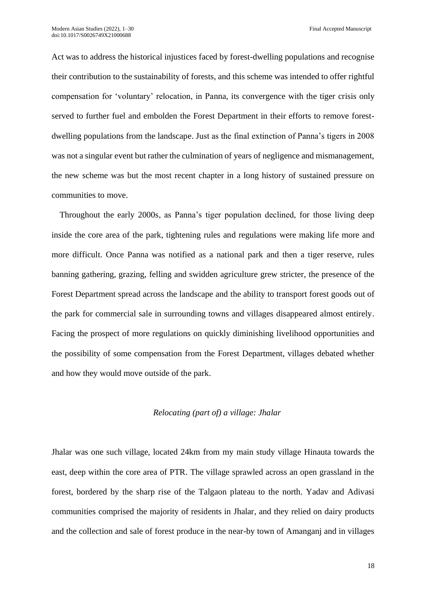Act was to address the historical injustices faced by forest-dwelling populations and recognise their contribution to the sustainability of forests, and this scheme was intended to offer rightful compensation for 'voluntary' relocation, in Panna, its convergence with the tiger crisis only served to further fuel and embolden the Forest Department in their efforts to remove forestdwelling populations from the landscape. Just as the final extinction of Panna's tigers in 2008 was not a singular event but rather the culmination of years of negligence and mismanagement, the new scheme was but the most recent chapter in a long history of sustained pressure on communities to move.

Throughout the early 2000s, as Panna's tiger population declined, for those living deep inside the core area of the park, tightening rules and regulations were making life more and more difficult. Once Panna was notified as a national park and then a tiger reserve, rules banning gathering, grazing, felling and swidden agriculture grew stricter, the presence of the Forest Department spread across the landscape and the ability to transport forest goods out of the park for commercial sale in surrounding towns and villages disappeared almost entirely. Facing the prospect of more regulations on quickly diminishing livelihood opportunities and the possibility of some compensation from the Forest Department, villages debated whether and how they would move outside of the park.

### *Relocating (part of) a village: Jhalar*

Jhalar was one such village, located 24km from my main study village Hinauta towards the east, deep within the core area of PTR. The village sprawled across an open grassland in the forest, bordered by the sharp rise of the Talgaon plateau to the north. Yadav and Adivasi communities comprised the majority of residents in Jhalar, and they relied on dairy products and the collection and sale of forest produce in the near-by town of Amanganj and in villages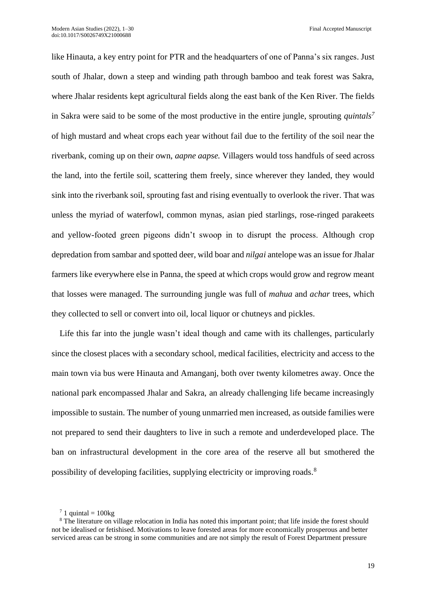like Hinauta, a key entry point for PTR and the headquarters of one of Panna's six ranges. Just south of Jhalar, down a steep and winding path through bamboo and teak forest was Sakra, where Jhalar residents kept agricultural fields along the east bank of the Ken River. The fields in Sakra were said to be some of the most productive in the entire jungle, sprouting *quintals<sup>7</sup>* of high mustard and wheat crops each year without fail due to the fertility of the soil near the riverbank, coming up on their own, *aapne aapse.* Villagers would toss handfuls of seed across the land, into the fertile soil, scattering them freely, since wherever they landed, they would sink into the riverbank soil, sprouting fast and rising eventually to overlook the river. That was unless the myriad of waterfowl, common mynas, asian pied starlings, rose-ringed parakeets and yellow-footed green pigeons didn't swoop in to disrupt the process. Although crop depredation from sambar and spotted deer, wild boar and *nilgai* antelope was an issue for Jhalar farmers like everywhere else in Panna, the speed at which crops would grow and regrow meant that losses were managed. The surrounding jungle was full of *mahua* and *achar* trees, which they collected to sell or convert into oil, local liquor or chutneys and pickles.

Life this far into the jungle wasn't ideal though and came with its challenges, particularly since the closest places with a secondary school, medical facilities, electricity and access to the main town via bus were Hinauta and Amanganj, both over twenty kilometres away. Once the national park encompassed Jhalar and Sakra, an already challenging life became increasingly impossible to sustain. The number of young unmarried men increased, as outside families were not prepared to send their daughters to live in such a remote and underdeveloped place. The ban on infrastructural development in the core area of the reserve all but smothered the possibility of developing facilities, supplying electricity or improving roads.<sup>8</sup>

 $7$  1 quintal = 100kg

<sup>&</sup>lt;sup>8</sup> The literature on village relocation in India has noted this important point; that life inside the forest should not be idealised or fetishised. Motivations to leave forested areas for more economically prosperous and better serviced areas can be strong in some communities and are not simply the result of Forest Department pressure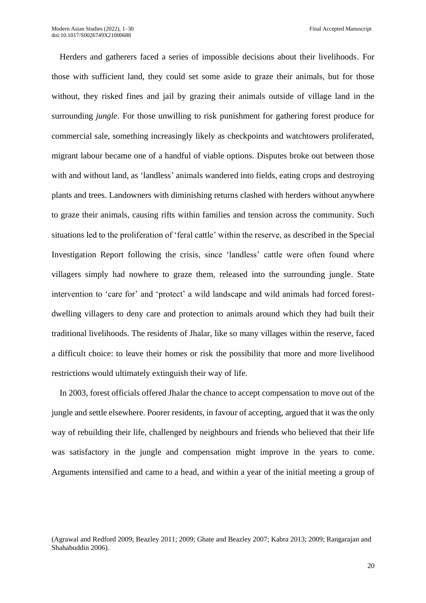Herders and gatherers faced a series of impossible decisions about their livelihoods. For those with sufficient land, they could set some aside to graze their animals, but for those without, they risked fines and jail by grazing their animals outside of village land in the surrounding *jungle*. For those unwilling to risk punishment for gathering forest produce for commercial sale, something increasingly likely as checkpoints and watchtowers proliferated, migrant labour became one of a handful of viable options. Disputes broke out between those with and without land, as 'landless' animals wandered into fields, eating crops and destroying plants and trees. Landowners with diminishing returns clashed with herders without anywhere to graze their animals, causing rifts within families and tension across the community. Such situations led to the proliferation of 'feral cattle' within the reserve, as described in the Special Investigation Report following the crisis, since 'landless' cattle were often found where villagers simply had nowhere to graze them, released into the surrounding jungle. State intervention to 'care for' and 'protect' a wild landscape and wild animals had forced forestdwelling villagers to deny care and protection to animals around which they had built their traditional livelihoods. The residents of Jhalar, like so many villages within the reserve, faced a difficult choice: to leave their homes or risk the possibility that more and more livelihood restrictions would ultimately extinguish their way of life.

In 2003, forest officials offered Jhalar the chance to accept compensation to move out of the jungle and settle elsewhere. Poorer residents, in favour of accepting, argued that it was the only way of rebuilding their life, challenged by neighbours and friends who believed that their life was satisfactory in the jungle and compensation might improve in the years to come. Arguments intensified and came to a head, and within a year of the initial meeting a group of

<sup>(</sup>Agrawal and Redford 2009; Beazley 2011; 2009; Ghate and Beazley 2007; Kabra 2013; 2009; Rangarajan and Shahabuddin 2006).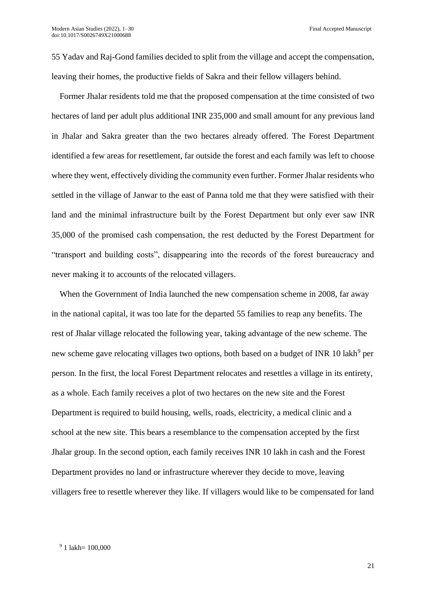55 Yadav and Raj-Gond families decided to split from the village and accept the compensation, leaving their homes, the productive fields of Sakra and their fellow villagers behind.

Former Jhalar residents told me that the proposed compensation at the time consisted of two hectares of land per adult plus additional INR 235,000 and small amount for any previous land in Jhalar and Sakra greater than the two hectares already offered. The Forest Department identified a few areas for resettlement, far outside the forest and each family was left to choose where they went, effectively dividing the community even further. Former Jhalar residents who settled in the village of Janwar to the east of Panna told me that they were satisfied with their land and the minimal infrastructure built by the Forest Department but only ever saw INR 35,000 of the promised cash compensation, the rest deducted by the Forest Department for "transport and building costs", disappearing into the records of the forest bureaucracy and never making it to accounts of the relocated villagers.

When the Government of India launched the new compensation scheme in 2008, far away in the national capital, it was too late for the departed 55 families to reap any benefits. The rest of Jhalar village relocated the following year, taking advantage of the new scheme. The new scheme gave relocating villages two options, both based on a budget of INR 10 lakh<sup>9</sup> per person. In the first, the local Forest Department relocates and resettles a village in its entirety, as a whole. Each family receives a plot of two hectares on the new site and the Forest Department is required to build housing, wells, roads, electricity, a medical clinic and a school at the new site. This bears a resemblance to the compensation accepted by the first Jhalar group. In the second option, each family receives INR 10 lakh in cash and the Forest Department provides no land or infrastructure wherever they decide to move, leaving villagers free to resettle wherever they like. If villagers would like to be compensated for land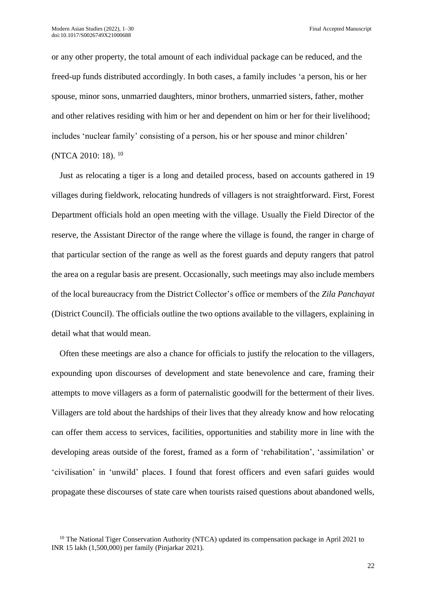or any other property, the total amount of each individual package can be reduced, and the freed-up funds distributed accordingly. In both cases, a family includes 'a person, his or her spouse, minor sons, unmarried daughters, minor brothers, unmarried sisters, father, mother and other relatives residing with him or her and dependent on him or her for their livelihood; includes 'nuclear family' consisting of a person, his or her spouse and minor children' (NTCA 2010: 18). <sup>10</sup>

Just as relocating a tiger is a long and detailed process, based on accounts gathered in 19 villages during fieldwork, relocating hundreds of villagers is not straightforward. First, Forest Department officials hold an open meeting with the village. Usually the Field Director of the reserve, the Assistant Director of the range where the village is found, the ranger in charge of that particular section of the range as well as the forest guards and deputy rangers that patrol the area on a regular basis are present. Occasionally, such meetings may also include members of the local bureaucracy from the District Collector's office or members of the *Zila Panchayat* (District Council). The officials outline the two options available to the villagers, explaining in detail what that would mean.

Often these meetings are also a chance for officials to justify the relocation to the villagers, expounding upon discourses of development and state benevolence and care, framing their attempts to move villagers as a form of paternalistic goodwill for the betterment of their lives. Villagers are told about the hardships of their lives that they already know and how relocating can offer them access to services, facilities, opportunities and stability more in line with the developing areas outside of the forest, framed as a form of 'rehabilitation', 'assimilation' or 'civilisation' in 'unwild' places. I found that forest officers and even safari guides would propagate these discourses of state care when tourists raised questions about abandoned wells,

<sup>&</sup>lt;sup>10</sup> The National Tiger Conservation Authority (NTCA) updated its compensation package in April 2021 to INR 15 lakh (1,500,000) per family (Pinjarkar 2021).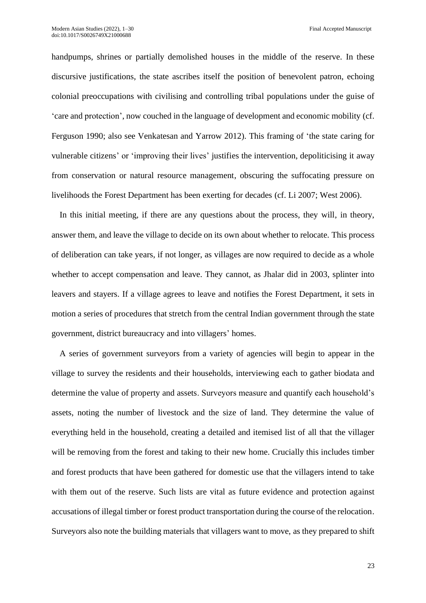handpumps, shrines or partially demolished houses in the middle of the reserve. In these discursive justifications, the state ascribes itself the position of benevolent patron, echoing colonial preoccupations with civilising and controlling tribal populations under the guise of 'care and protection', now couched in the language of development and economic mobility (cf. Ferguson 1990; also see Venkatesan and Yarrow 2012). This framing of 'the state caring for vulnerable citizens' or 'improving their lives' justifies the intervention, depoliticising it away from conservation or natural resource management, obscuring the suffocating pressure on livelihoods the Forest Department has been exerting for decades (cf. Li 2007; West 2006).

In this initial meeting, if there are any questions about the process, they will, in theory, answer them, and leave the village to decide on its own about whether to relocate. This process of deliberation can take years, if not longer, as villages are now required to decide as a whole whether to accept compensation and leave. They cannot, as Jhalar did in 2003, splinter into leavers and stayers. If a village agrees to leave and notifies the Forest Department, it sets in motion a series of procedures that stretch from the central Indian government through the state government, district bureaucracy and into villagers' homes.

A series of government surveyors from a variety of agencies will begin to appear in the village to survey the residents and their households, interviewing each to gather biodata and determine the value of property and assets. Surveyors measure and quantify each household's assets, noting the number of livestock and the size of land. They determine the value of everything held in the household, creating a detailed and itemised list of all that the villager will be removing from the forest and taking to their new home. Crucially this includes timber and forest products that have been gathered for domestic use that the villagers intend to take with them out of the reserve. Such lists are vital as future evidence and protection against accusations of illegal timber or forest product transportation during the course of the relocation. Surveyors also note the building materials that villagers want to move, as they prepared to shift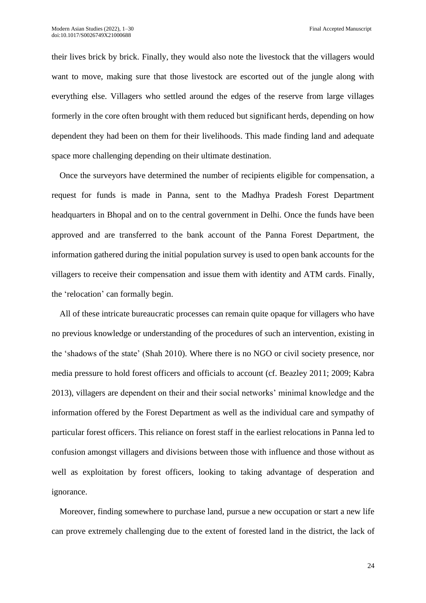their lives brick by brick. Finally, they would also note the livestock that the villagers would want to move, making sure that those livestock are escorted out of the jungle along with everything else. Villagers who settled around the edges of the reserve from large villages formerly in the core often brought with them reduced but significant herds, depending on how dependent they had been on them for their livelihoods. This made finding land and adequate space more challenging depending on their ultimate destination.

Once the surveyors have determined the number of recipients eligible for compensation, a request for funds is made in Panna, sent to the Madhya Pradesh Forest Department headquarters in Bhopal and on to the central government in Delhi. Once the funds have been approved and are transferred to the bank account of the Panna Forest Department, the information gathered during the initial population survey is used to open bank accounts for the villagers to receive their compensation and issue them with identity and ATM cards. Finally, the 'relocation' can formally begin.

All of these intricate bureaucratic processes can remain quite opaque for villagers who have no previous knowledge or understanding of the procedures of such an intervention, existing in the 'shadows of the state' (Shah 2010). Where there is no NGO or civil society presence, nor media pressure to hold forest officers and officials to account (cf. Beazley 2011; 2009; Kabra 2013), villagers are dependent on their and their social networks' minimal knowledge and the information offered by the Forest Department as well as the individual care and sympathy of particular forest officers. This reliance on forest staff in the earliest relocations in Panna led to confusion amongst villagers and divisions between those with influence and those without as well as exploitation by forest officers, looking to taking advantage of desperation and ignorance.

Moreover, finding somewhere to purchase land, pursue a new occupation or start a new life can prove extremely challenging due to the extent of forested land in the district, the lack of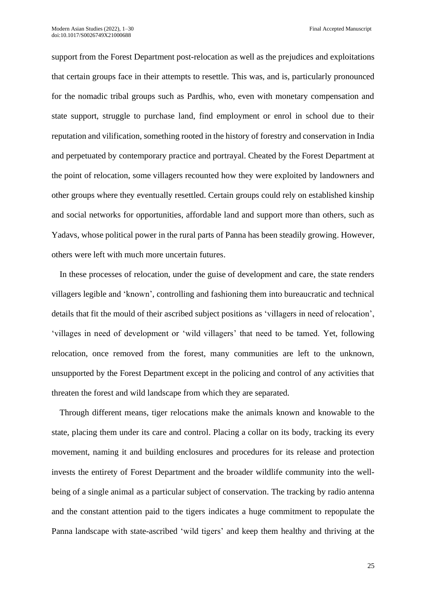support from the Forest Department post-relocation as well as the prejudices and exploitations that certain groups face in their attempts to resettle. This was, and is, particularly pronounced for the nomadic tribal groups such as Pardhis, who, even with monetary compensation and state support, struggle to purchase land, find employment or enrol in school due to their reputation and vilification, something rooted in the history of forestry and conservation in India and perpetuated by contemporary practice and portrayal. Cheated by the Forest Department at the point of relocation, some villagers recounted how they were exploited by landowners and other groups where they eventually resettled. Certain groups could rely on established kinship and social networks for opportunities, affordable land and support more than others, such as Yadavs, whose political power in the rural parts of Panna has been steadily growing. However, others were left with much more uncertain futures.

In these processes of relocation, under the guise of development and care, the state renders villagers legible and 'known', controlling and fashioning them into bureaucratic and technical details that fit the mould of their ascribed subject positions as 'villagers in need of relocation', 'villages in need of development or 'wild villagers' that need to be tamed. Yet, following relocation, once removed from the forest, many communities are left to the unknown, unsupported by the Forest Department except in the policing and control of any activities that threaten the forest and wild landscape from which they are separated.

Through different means, tiger relocations make the animals known and knowable to the state, placing them under its care and control. Placing a collar on its body, tracking its every movement, naming it and building enclosures and procedures for its release and protection invests the entirety of Forest Department and the broader wildlife community into the wellbeing of a single animal as a particular subject of conservation. The tracking by radio antenna and the constant attention paid to the tigers indicates a huge commitment to repopulate the Panna landscape with state-ascribed 'wild tigers' and keep them healthy and thriving at the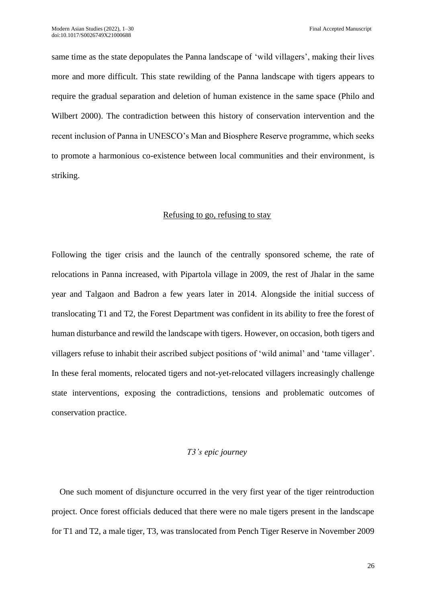same time as the state depopulates the Panna landscape of 'wild villagers', making their lives more and more difficult. This state rewilding of the Panna landscape with tigers appears to require the gradual separation and deletion of human existence in the same space (Philo and Wilbert 2000). The contradiction between this history of conservation intervention and the recent inclusion of Panna in UNESCO's Man and Biosphere Reserve programme, which seeks to promote a harmonious co-existence between local communities and their environment, is striking.

## Refusing to go, refusing to stay

Following the tiger crisis and the launch of the centrally sponsored scheme, the rate of relocations in Panna increased, with Pipartola village in 2009, the rest of Jhalar in the same year and Talgaon and Badron a few years later in 2014. Alongside the initial success of translocating T1 and T2, the Forest Department was confident in its ability to free the forest of human disturbance and rewild the landscape with tigers. However, on occasion, both tigers and villagers refuse to inhabit their ascribed subject positions of 'wild animal' and 'tame villager'. In these feral moments, relocated tigers and not-yet-relocated villagers increasingly challenge state interventions, exposing the contradictions, tensions and problematic outcomes of conservation practice.

#### *T3's epic journey*

One such moment of disjuncture occurred in the very first year of the tiger reintroduction project. Once forest officials deduced that there were no male tigers present in the landscape for T1 and T2, a male tiger, T3, was translocated from Pench Tiger Reserve in November 2009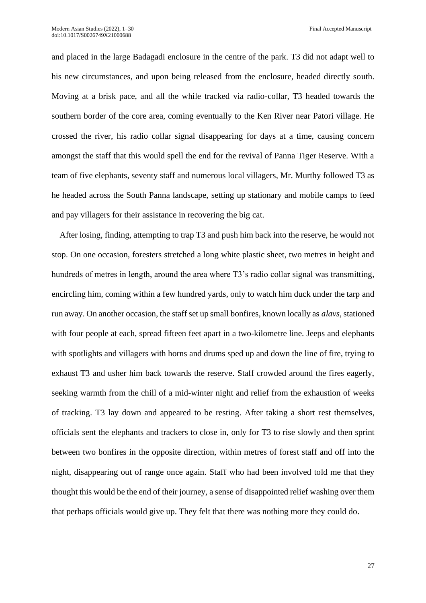and placed in the large Badagadi enclosure in the centre of the park. T3 did not adapt well to his new circumstances, and upon being released from the enclosure, headed directly south. Moving at a brisk pace, and all the while tracked via radio-collar, T3 headed towards the southern border of the core area, coming eventually to the Ken River near Patori village. He crossed the river, his radio collar signal disappearing for days at a time, causing concern amongst the staff that this would spell the end for the revival of Panna Tiger Reserve. With a team of five elephants, seventy staff and numerous local villagers, Mr. Murthy followed T3 as he headed across the South Panna landscape, setting up stationary and mobile camps to feed and pay villagers for their assistance in recovering the big cat.

After losing, finding, attempting to trap T3 and push him back into the reserve, he would not stop. On one occasion, foresters stretched a long white plastic sheet, two metres in height and hundreds of metres in length, around the area where T3's radio collar signal was transmitting, encircling him, coming within a few hundred yards, only to watch him duck under the tarp and run away. On another occasion, the staff set up small bonfires, known locally as *alavs*, stationed with four people at each, spread fifteen feet apart in a two-kilometre line. Jeeps and elephants with spotlights and villagers with horns and drums sped up and down the line of fire, trying to exhaust T3 and usher him back towards the reserve. Staff crowded around the fires eagerly, seeking warmth from the chill of a mid-winter night and relief from the exhaustion of weeks of tracking. T3 lay down and appeared to be resting. After taking a short rest themselves, officials sent the elephants and trackers to close in, only for T3 to rise slowly and then sprint between two bonfires in the opposite direction, within metres of forest staff and off into the night, disappearing out of range once again. Staff who had been involved told me that they thought this would be the end of their journey, a sense of disappointed relief washing over them that perhaps officials would give up. They felt that there was nothing more they could do.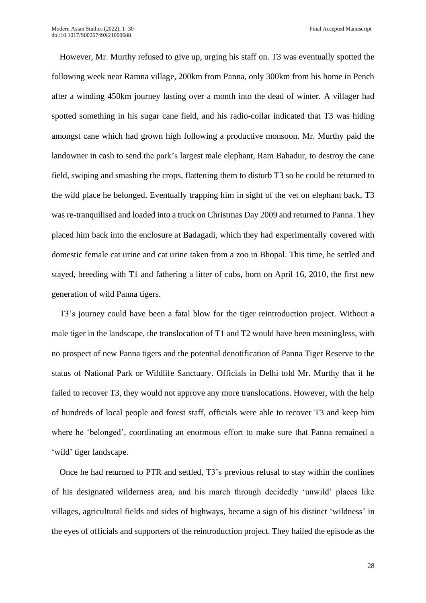However, Mr. Murthy refused to give up, urging his staff on. T3 was eventually spotted the following week near Ramna village, 200km from Panna, only 300km from his home in Pench after a winding 450km journey lasting over a month into the dead of winter. A villager had spotted something in his sugar cane field, and his radio-collar indicated that T3 was hiding amongst cane which had grown high following a productive monsoon. Mr. Murthy paid the landowner in cash to send the park's largest male elephant, Ram Bahadur, to destroy the cane field, swiping and smashing the crops, flattening them to disturb T3 so he could be returned to the wild place he belonged. Eventually trapping him in sight of the vet on elephant back, T3 was re-tranquilised and loaded into a truck on Christmas Day 2009 and returned to Panna. They placed him back into the enclosure at Badagadi, which they had experimentally covered with domestic female cat urine and cat urine taken from a zoo in Bhopal. This time, he settled and stayed, breeding with T1 and fathering a litter of cubs, born on April 16, 2010, the first new generation of wild Panna tigers.

T3's journey could have been a fatal blow for the tiger reintroduction project. Without a male tiger in the landscape, the translocation of T1 and T2 would have been meaningless, with no prospect of new Panna tigers and the potential denotification of Panna Tiger Reserve to the status of National Park or Wildlife Sanctuary. Officials in Delhi told Mr. Murthy that if he failed to recover T3, they would not approve any more translocations. However, with the help of hundreds of local people and forest staff, officials were able to recover T3 and keep him where he 'belonged', coordinating an enormous effort to make sure that Panna remained a 'wild' tiger landscape.

Once he had returned to PTR and settled, T3's previous refusal to stay within the confines of his designated wilderness area, and his march through decidedly 'unwild' places like villages, agricultural fields and sides of highways, became a sign of his distinct 'wildness' in the eyes of officials and supporters of the reintroduction project. They hailed the episode as the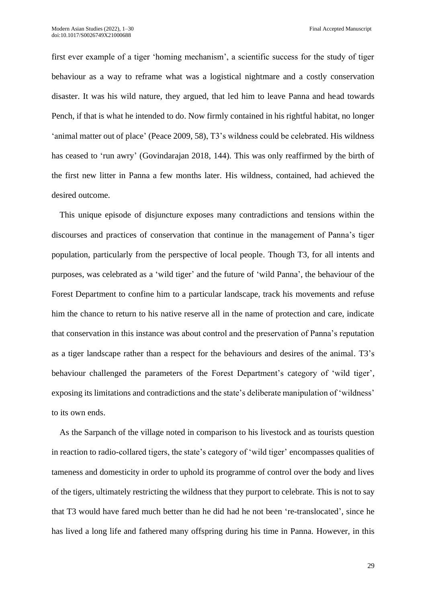first ever example of a tiger 'homing mechanism', a scientific success for the study of tiger behaviour as a way to reframe what was a logistical nightmare and a costly conservation disaster. It was his wild nature, they argued, that led him to leave Panna and head towards Pench, if that is what he intended to do. Now firmly contained in his rightful habitat, no longer 'animal matter out of place' (Peace 2009, 58), T3's wildness could be celebrated. His wildness has ceased to 'run awry' (Govindarajan 2018, 144). This was only reaffirmed by the birth of the first new litter in Panna a few months later. His wildness, contained, had achieved the desired outcome.

This unique episode of disjuncture exposes many contradictions and tensions within the discourses and practices of conservation that continue in the management of Panna's tiger population, particularly from the perspective of local people. Though T3, for all intents and purposes, was celebrated as a 'wild tiger' and the future of 'wild Panna', the behaviour of the Forest Department to confine him to a particular landscape, track his movements and refuse him the chance to return to his native reserve all in the name of protection and care, indicate that conservation in this instance was about control and the preservation of Panna's reputation as a tiger landscape rather than a respect for the behaviours and desires of the animal. T3's behaviour challenged the parameters of the Forest Department's category of 'wild tiger', exposing its limitations and contradictions and the state's deliberate manipulation of 'wildness' to its own ends.

As the Sarpanch of the village noted in comparison to his livestock and as tourists question in reaction to radio-collared tigers, the state's category of 'wild tiger' encompasses qualities of tameness and domesticity in order to uphold its programme of control over the body and lives of the tigers, ultimately restricting the wildness that they purport to celebrate. This is not to say that T3 would have fared much better than he did had he not been 're-translocated', since he has lived a long life and fathered many offspring during his time in Panna. However, in this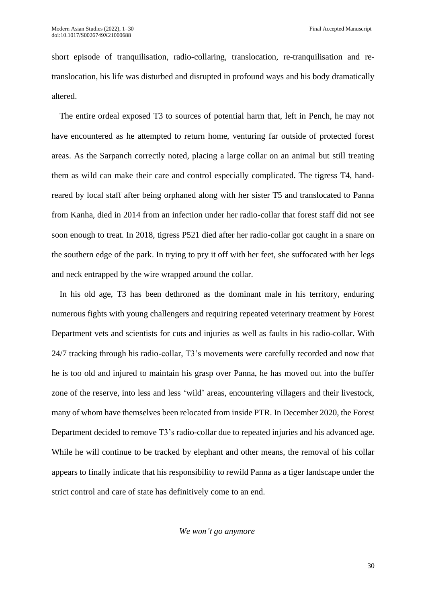short episode of tranquilisation, radio-collaring, translocation, re-tranquilisation and retranslocation, his life was disturbed and disrupted in profound ways and his body dramatically altered.

The entire ordeal exposed T3 to sources of potential harm that, left in Pench, he may not have encountered as he attempted to return home, venturing far outside of protected forest areas. As the Sarpanch correctly noted, placing a large collar on an animal but still treating them as wild can make their care and control especially complicated. The tigress T4, handreared by local staff after being orphaned along with her sister T5 and translocated to Panna from Kanha, died in 2014 from an infection under her radio-collar that forest staff did not see soon enough to treat. In 2018, tigress P521 died after her radio-collar got caught in a snare on the southern edge of the park. In trying to pry it off with her feet, she suffocated with her legs and neck entrapped by the wire wrapped around the collar.

In his old age, T3 has been dethroned as the dominant male in his territory, enduring numerous fights with young challengers and requiring repeated veterinary treatment by Forest Department vets and scientists for cuts and injuries as well as faults in his radio-collar. With 24/7 tracking through his radio-collar, T3's movements were carefully recorded and now that he is too old and injured to maintain his grasp over Panna, he has moved out into the buffer zone of the reserve, into less and less 'wild' areas, encountering villagers and their livestock, many of whom have themselves been relocated from inside PTR. In December 2020, the Forest Department decided to remove T3's radio-collar due to repeated injuries and his advanced age. While he will continue to be tracked by elephant and other means, the removal of his collar appears to finally indicate that his responsibility to rewild Panna as a tiger landscape under the strict control and care of state has definitively come to an end.

*We won't go anymore*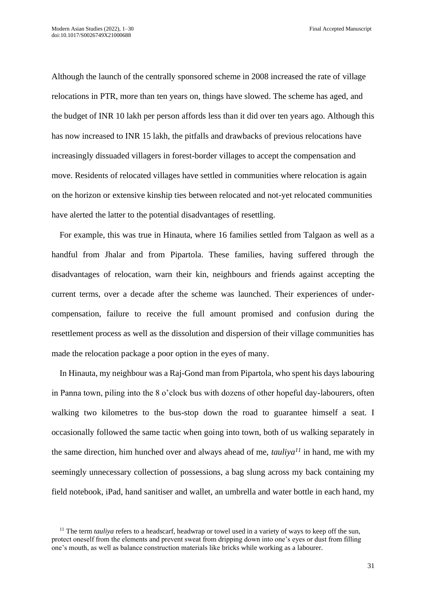Although the launch of the centrally sponsored scheme in 2008 increased the rate of village relocations in PTR, more than ten years on, things have slowed. The scheme has aged, and the budget of INR 10 lakh per person affords less than it did over ten years ago. Although this has now increased to INR 15 lakh, the pitfalls and drawbacks of previous relocations have increasingly dissuaded villagers in forest-border villages to accept the compensation and move. Residents of relocated villages have settled in communities where relocation is again on the horizon or extensive kinship ties between relocated and not-yet relocated communities have alerted the latter to the potential disadvantages of resettling.

For example, this was true in Hinauta, where 16 families settled from Talgaon as well as a handful from Jhalar and from Pipartola. These families, having suffered through the disadvantages of relocation, warn their kin, neighbours and friends against accepting the current terms, over a decade after the scheme was launched. Their experiences of undercompensation, failure to receive the full amount promised and confusion during the resettlement process as well as the dissolution and dispersion of their village communities has made the relocation package a poor option in the eyes of many.

In Hinauta, my neighbour was a Raj-Gond man from Pipartola, who spent his days labouring in Panna town, piling into the 8 o'clock bus with dozens of other hopeful day-labourers, often walking two kilometres to the bus-stop down the road to guarantee himself a seat. I occasionally followed the same tactic when going into town, both of us walking separately in the same direction, him hunched over and always ahead of me, *tauliya<sup>11</sup>* in hand, me with my seemingly unnecessary collection of possessions, a bag slung across my back containing my field notebook, iPad, hand sanitiser and wallet, an umbrella and water bottle in each hand, my

<sup>&</sup>lt;sup>11</sup> The term *tauliya* refers to a headscarf, headwrap or towel used in a variety of ways to keep off the sun, protect oneself from the elements and prevent sweat from dripping down into one's eyes or dust from filling one's mouth, as well as balance construction materials like bricks while working as a labourer.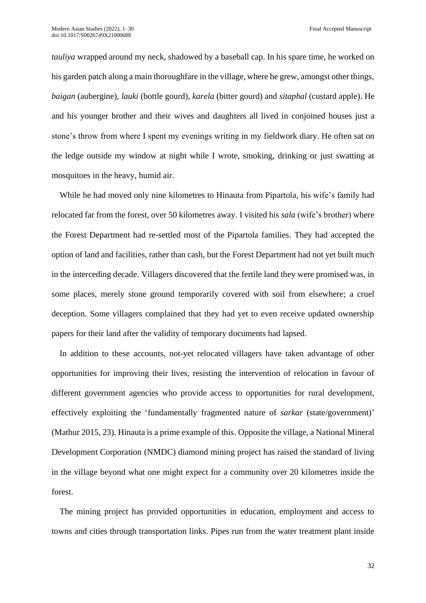*tauliya* wrapped around my neck, shadowed by a baseball cap. In his spare time, he worked on his garden patch along a main thoroughfare in the village, where he grew, amongst other things, *baigan* (aubergine)*, lauki* (bottle gourd), *karela* (bitter gourd) and *sitaphal* (custard apple). He and his younger brother and their wives and daughters all lived in conjoined houses just a stone's throw from where I spent my evenings writing in my fieldwork diary. He often sat on the ledge outside my window at night while I wrote, smoking, drinking or just swatting at mosquitoes in the heavy, humid air.

While he had moved only nine kilometres to Hinauta from Pipartola, his wife's family had relocated far from the forest, over 50 kilometres away. I visited his *sala* (wife's brother) where the Forest Department had re-settled most of the Pipartola families. They had accepted the option of land and facilities, rather than cash, but the Forest Department had not yet built much in the interceding decade. Villagers discovered that the fertile land they were promised was, in some places, merely stone ground temporarily covered with soil from elsewhere; a cruel deception. Some villagers complained that they had yet to even receive updated ownership papers for their land after the validity of temporary documents had lapsed.

In addition to these accounts, not-yet relocated villagers have taken advantage of other opportunities for improving their lives, resisting the intervention of relocation in favour of different government agencies who provide access to opportunities for rural development, effectively exploiting the 'fundamentally fragmented nature of *sarkar* (state/government)' (Mathur 2015, 23). Hinauta is a prime example of this. Opposite the village, a National Mineral Development Corporation (NMDC) diamond mining project has raised the standard of living in the village beyond what one might expect for a community over 20 kilometres inside the forest.

The mining project has provided opportunities in education, employment and access to towns and cities through transportation links. Pipes run from the water treatment plant inside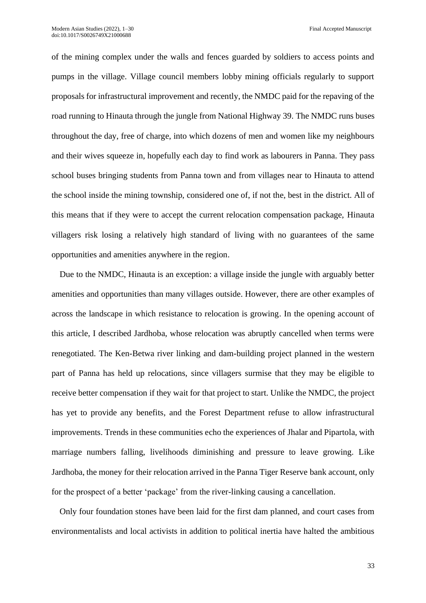of the mining complex under the walls and fences guarded by soldiers to access points and pumps in the village. Village council members lobby mining officials regularly to support proposals for infrastructural improvement and recently, the NMDC paid for the repaving of the road running to Hinauta through the jungle from National Highway 39. The NMDC runs buses throughout the day, free of charge, into which dozens of men and women like my neighbours and their wives squeeze in, hopefully each day to find work as labourers in Panna. They pass school buses bringing students from Panna town and from villages near to Hinauta to attend the school inside the mining township, considered one of, if not the, best in the district. All of this means that if they were to accept the current relocation compensation package, Hinauta villagers risk losing a relatively high standard of living with no guarantees of the same opportunities and amenities anywhere in the region.

Due to the NMDC, Hinauta is an exception: a village inside the jungle with arguably better amenities and opportunities than many villages outside. However, there are other examples of across the landscape in which resistance to relocation is growing. In the opening account of this article, I described Jardhoba, whose relocation was abruptly cancelled when terms were renegotiated. The Ken-Betwa river linking and dam-building project planned in the western part of Panna has held up relocations, since villagers surmise that they may be eligible to receive better compensation if they wait for that project to start. Unlike the NMDC, the project has yet to provide any benefits, and the Forest Department refuse to allow infrastructural improvements. Trends in these communities echo the experiences of Jhalar and Pipartola, with marriage numbers falling, livelihoods diminishing and pressure to leave growing. Like Jardhoba, the money for their relocation arrived in the Panna Tiger Reserve bank account, only for the prospect of a better 'package' from the river-linking causing a cancellation.

Only four foundation stones have been laid for the first dam planned, and court cases from environmentalists and local activists in addition to political inertia have halted the ambitious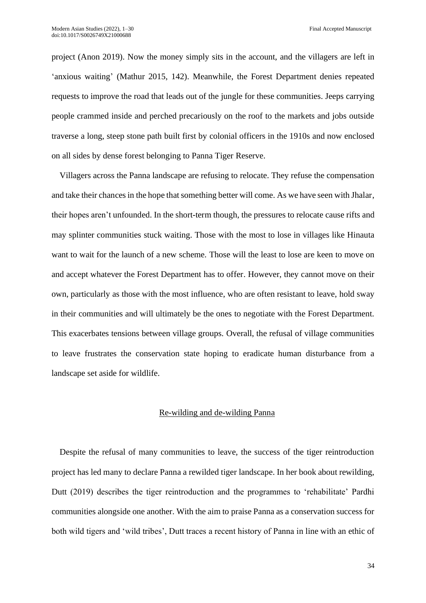project (Anon 2019). Now the money simply sits in the account, and the villagers are left in 'anxious waiting' (Mathur 2015, 142). Meanwhile, the Forest Department denies repeated requests to improve the road that leads out of the jungle for these communities. Jeeps carrying people crammed inside and perched precariously on the roof to the markets and jobs outside traverse a long, steep stone path built first by colonial officers in the 1910s and now enclosed on all sides by dense forest belonging to Panna Tiger Reserve.

Villagers across the Panna landscape are refusing to relocate. They refuse the compensation and take their chances in the hope that something better will come. As we have seen with Jhalar, their hopes aren't unfounded. In the short-term though, the pressures to relocate cause rifts and may splinter communities stuck waiting. Those with the most to lose in villages like Hinauta want to wait for the launch of a new scheme. Those will the least to lose are keen to move on and accept whatever the Forest Department has to offer. However, they cannot move on their own, particularly as those with the most influence, who are often resistant to leave, hold sway in their communities and will ultimately be the ones to negotiate with the Forest Department. This exacerbates tensions between village groups. Overall, the refusal of village communities to leave frustrates the conservation state hoping to eradicate human disturbance from a landscape set aside for wildlife.

## Re-wilding and de-wilding Panna

Despite the refusal of many communities to leave, the success of the tiger reintroduction project has led many to declare Panna a rewilded tiger landscape. In her book about rewilding, Dutt (2019) describes the tiger reintroduction and the programmes to 'rehabilitate' Pardhi communities alongside one another. With the aim to praise Panna as a conservation success for both wild tigers and 'wild tribes', Dutt traces a recent history of Panna in line with an ethic of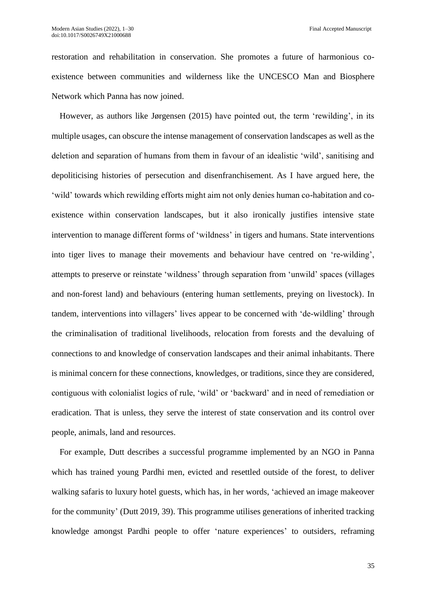restoration and rehabilitation in conservation. She promotes a future of harmonious coexistence between communities and wilderness like the UNCESCO Man and Biosphere Network which Panna has now joined.

However, as authors like Jørgensen (2015) have pointed out, the term 'rewilding', in its multiple usages, can obscure the intense management of conservation landscapes as well as the deletion and separation of humans from them in favour of an idealistic 'wild', sanitising and depoliticising histories of persecution and disenfranchisement. As I have argued here, the 'wild' towards which rewilding efforts might aim not only denies human co-habitation and coexistence within conservation landscapes, but it also ironically justifies intensive state intervention to manage different forms of 'wildness' in tigers and humans. State interventions into tiger lives to manage their movements and behaviour have centred on 're-wilding', attempts to preserve or reinstate 'wildness' through separation from 'unwild' spaces (villages and non-forest land) and behaviours (entering human settlements, preying on livestock). In tandem, interventions into villagers' lives appear to be concerned with 'de-wildling' through the criminalisation of traditional livelihoods, relocation from forests and the devaluing of connections to and knowledge of conservation landscapes and their animal inhabitants. There is minimal concern for these connections, knowledges, or traditions, since they are considered, contiguous with colonialist logics of rule, 'wild' or 'backward' and in need of remediation or eradication. That is unless, they serve the interest of state conservation and its control over people, animals, land and resources.

For example, Dutt describes a successful programme implemented by an NGO in Panna which has trained young Pardhi men, evicted and resettled outside of the forest, to deliver walking safaris to luxury hotel guests, which has, in her words, 'achieved an image makeover for the community' (Dutt 2019, 39). This programme utilises generations of inherited tracking knowledge amongst Pardhi people to offer 'nature experiences' to outsiders, reframing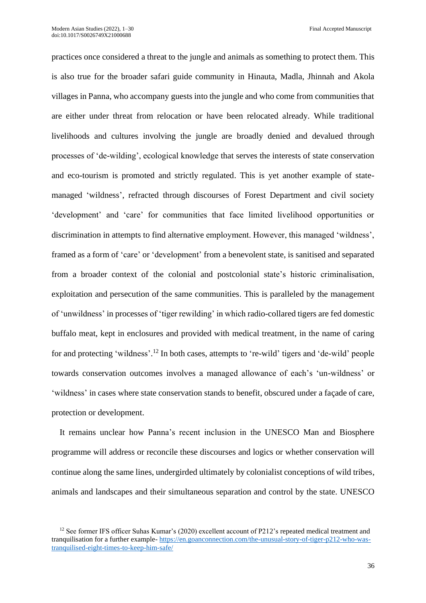practices once considered a threat to the jungle and animals as something to protect them. This is also true for the broader safari guide community in Hinauta, Madla, Jhinnah and Akola villages in Panna, who accompany guests into the jungle and who come from communities that are either under threat from relocation or have been relocated already. While traditional livelihoods and cultures involving the jungle are broadly denied and devalued through processes of 'de-wilding', ecological knowledge that serves the interests of state conservation and eco-tourism is promoted and strictly regulated. This is yet another example of statemanaged 'wildness', refracted through discourses of Forest Department and civil society 'development' and 'care' for communities that face limited livelihood opportunities or discrimination in attempts to find alternative employment. However, this managed 'wildness', framed as a form of 'care' or 'development' from a benevolent state, is sanitised and separated from a broader context of the colonial and postcolonial state's historic criminalisation, exploitation and persecution of the same communities. This is paralleled by the management of 'unwildness' in processes of 'tiger rewilding' in which radio-collared tigers are fed domestic buffalo meat, kept in enclosures and provided with medical treatment, in the name of caring for and protecting 'wildness'.<sup>12</sup> In both cases, attempts to 're-wild' tigers and 'de-wild' people towards conservation outcomes involves a managed allowance of each's 'un-wildness' or 'wildness' in cases where state conservation stands to benefit, obscured under a façade of care, protection or development.

It remains unclear how Panna's recent inclusion in the UNESCO Man and Biosphere programme will address or reconcile these discourses and logics or whether conservation will continue along the same lines, undergirded ultimately by colonialist conceptions of wild tribes, animals and landscapes and their simultaneous separation and control by the state. UNESCO

<sup>&</sup>lt;sup>12</sup> See former IFS officer Suhas Kumar's (2020) excellent account of P212's repeated medical treatment and tranquilisation for a further example- [https://en.goanconnection.com/the-unusual-story-of-tiger-p212-who-was](https://en.goanconnection.com/the-unusual-story-of-tiger-p212-who-was-tranquilised-eight-times-to-keep-him-safe/)[tranquilised-eight-times-to-keep-him-safe/](https://en.goanconnection.com/the-unusual-story-of-tiger-p212-who-was-tranquilised-eight-times-to-keep-him-safe/)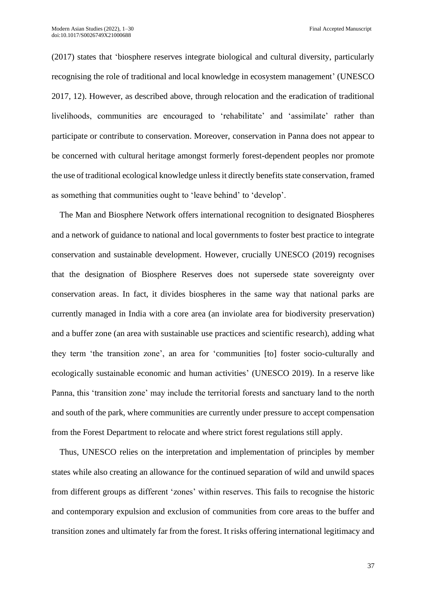(2017) states that 'biosphere reserves integrate biological and cultural diversity, particularly recognising the role of traditional and local knowledge in ecosystem management' (UNESCO 2017, 12). However, as described above, through relocation and the eradication of traditional livelihoods, communities are encouraged to 'rehabilitate' and 'assimilate' rather than participate or contribute to conservation. Moreover, conservation in Panna does not appear to be concerned with cultural heritage amongst formerly forest-dependent peoples nor promote the use of traditional ecological knowledge unless it directly benefits state conservation, framed as something that communities ought to 'leave behind' to 'develop'.

The Man and Biosphere Network offers international recognition to designated Biospheres and a network of guidance to national and local governments to foster best practice to integrate conservation and sustainable development. However, crucially UNESCO (2019) recognises that the designation of Biosphere Reserves does not supersede state sovereignty over conservation areas. In fact, it divides biospheres in the same way that national parks are currently managed in India with a core area (an inviolate area for biodiversity preservation) and a buffer zone (an area with sustainable use practices and scientific research), adding what they term 'the transition zone', an area for 'communities [to] foster socio-culturally and ecologically sustainable economic and human activities' (UNESCO 2019). In a reserve like Panna, this 'transition zone' may include the territorial forests and sanctuary land to the north and south of the park, where communities are currently under pressure to accept compensation from the Forest Department to relocate and where strict forest regulations still apply.

Thus, UNESCO relies on the interpretation and implementation of principles by member states while also creating an allowance for the continued separation of wild and unwild spaces from different groups as different 'zones' within reserves. This fails to recognise the historic and contemporary expulsion and exclusion of communities from core areas to the buffer and transition zones and ultimately far from the forest. It risks offering international legitimacy and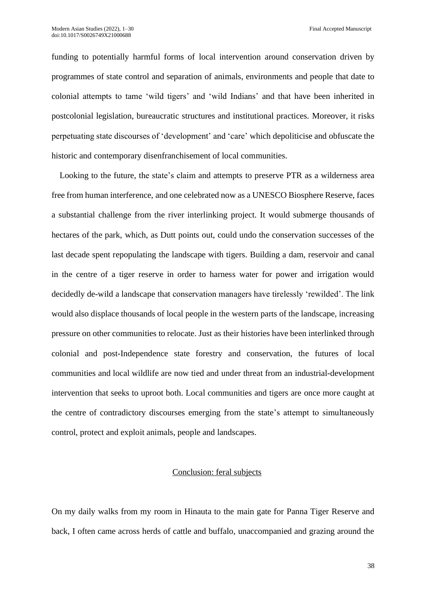funding to potentially harmful forms of local intervention around conservation driven by programmes of state control and separation of animals, environments and people that date to colonial attempts to tame 'wild tigers' and 'wild Indians' and that have been inherited in postcolonial legislation, bureaucratic structures and institutional practices. Moreover, it risks perpetuating state discourses of 'development' and 'care' which depoliticise and obfuscate the historic and contemporary disenfranchisement of local communities.

Looking to the future, the state's claim and attempts to preserve PTR as a wilderness area free from human interference, and one celebrated now as a UNESCO Biosphere Reserve, faces a substantial challenge from the river interlinking project. It would submerge thousands of hectares of the park, which, as Dutt points out, could undo the conservation successes of the last decade spent repopulating the landscape with tigers. Building a dam, reservoir and canal in the centre of a tiger reserve in order to harness water for power and irrigation would decidedly de-wild a landscape that conservation managers have tirelessly 'rewilded'. The link would also displace thousands of local people in the western parts of the landscape, increasing pressure on other communities to relocate. Just as their histories have been interlinked through colonial and post-Independence state forestry and conservation, the futures of local communities and local wildlife are now tied and under threat from an industrial-development intervention that seeks to uproot both. Local communities and tigers are once more caught at the centre of contradictory discourses emerging from the state's attempt to simultaneously control, protect and exploit animals, people and landscapes.

#### Conclusion: feral subjects

On my daily walks from my room in Hinauta to the main gate for Panna Tiger Reserve and back, I often came across herds of cattle and buffalo, unaccompanied and grazing around the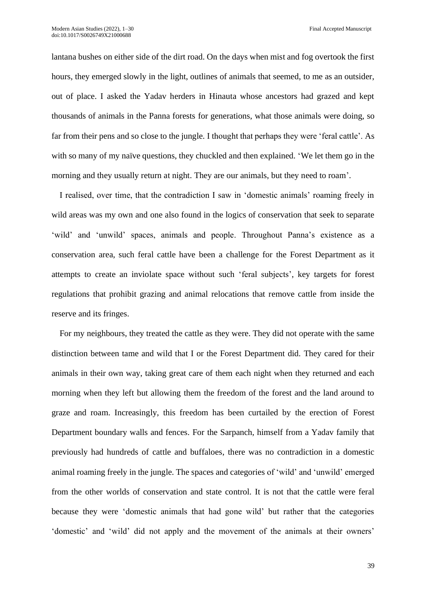lantana bushes on either side of the dirt road. On the days when mist and fog overtook the first hours, they emerged slowly in the light, outlines of animals that seemed, to me as an outsider, out of place. I asked the Yadav herders in Hinauta whose ancestors had grazed and kept thousands of animals in the Panna forests for generations, what those animals were doing, so far from their pens and so close to the jungle. I thought that perhaps they were 'feral cattle'. As with so many of my naïve questions, they chuckled and then explained. 'We let them go in the morning and they usually return at night. They are our animals, but they need to roam'.

I realised, over time, that the contradiction I saw in 'domestic animals' roaming freely in wild areas was my own and one also found in the logics of conservation that seek to separate 'wild' and 'unwild' spaces, animals and people. Throughout Panna's existence as a conservation area, such feral cattle have been a challenge for the Forest Department as it attempts to create an inviolate space without such 'feral subjects', key targets for forest regulations that prohibit grazing and animal relocations that remove cattle from inside the reserve and its fringes.

For my neighbours, they treated the cattle as they were. They did not operate with the same distinction between tame and wild that I or the Forest Department did. They cared for their animals in their own way, taking great care of them each night when they returned and each morning when they left but allowing them the freedom of the forest and the land around to graze and roam. Increasingly, this freedom has been curtailed by the erection of Forest Department boundary walls and fences. For the Sarpanch, himself from a Yadav family that previously had hundreds of cattle and buffaloes, there was no contradiction in a domestic animal roaming freely in the jungle. The spaces and categories of 'wild' and 'unwild' emerged from the other worlds of conservation and state control. It is not that the cattle were feral because they were 'domestic animals that had gone wild' but rather that the categories 'domestic' and 'wild' did not apply and the movement of the animals at their owners'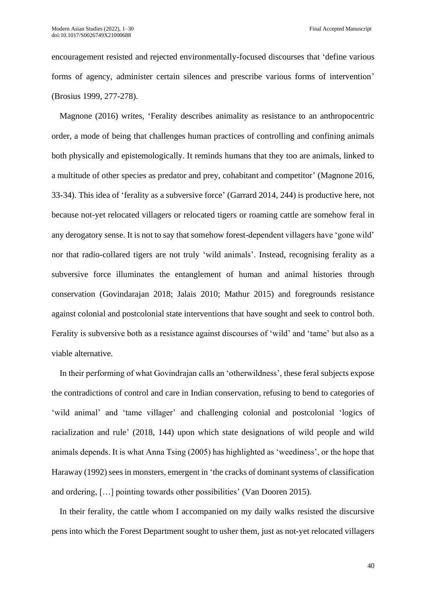encouragement resisted and rejected environmentally-focused discourses that 'define various forms of agency, administer certain silences and prescribe various forms of intervention' (Brosius 1999, 277-278).

Magnone (2016) writes, 'Ferality describes animality as resistance to an anthropocentric order, a mode of being that challenges human practices of controlling and confining animals both physically and epistemologically. It reminds humans that they too are animals, linked to a multitude of other species as predator and prey, cohabitant and competitor' (Magnone 2016, 33-34). This idea of 'ferality as a subversive force' (Garrard 2014, 244) is productive here, not because not-yet relocated villagers or relocated tigers or roaming cattle are somehow feral in any derogatory sense. It is not to say that somehow forest-dependent villagers have 'gone wild' nor that radio-collared tigers are not truly 'wild animals'. Instead, recognising ferality as a subversive force illuminates the entanglement of human and animal histories through conservation (Govindarajan 2018; Jalais 2010; Mathur 2015) and foregrounds resistance against colonial and postcolonial state interventions that have sought and seek to control both. Ferality is subversive both as a resistance against discourses of 'wild' and 'tame' but also as a viable alternative.

In their performing of what Govindrajan calls an 'otherwildness', these feral subjects expose the contradictions of control and care in Indian conservation, refusing to bend to categories of 'wild animal' and 'tame villager' and challenging colonial and postcolonial 'logics of racialization and rule' (2018, 144) upon which state designations of wild people and wild animals depends. It is what Anna Tsing (2005) has highlighted as 'weediness', or the hope that Haraway (1992) sees in monsters, emergent in 'the cracks of dominant systems of classification and ordering, […] pointing towards other possibilities' (Van Dooren 2015).

In their ferality, the cattle whom I accompanied on my daily walks resisted the discursive pens into which the Forest Department sought to usher them, just as not-yet relocated villagers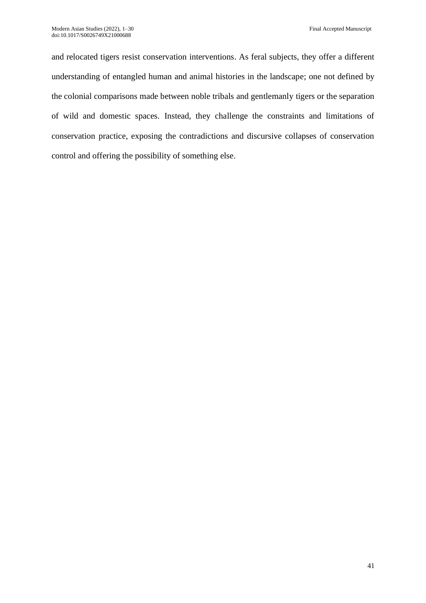and relocated tigers resist conservation interventions. As feral subjects, they offer a different understanding of entangled human and animal histories in the landscape; one not defined by the colonial comparisons made between noble tribals and gentlemanly tigers or the separation of wild and domestic spaces. Instead, they challenge the constraints and limitations of conservation practice, exposing the contradictions and discursive collapses of conservation control and offering the possibility of something else.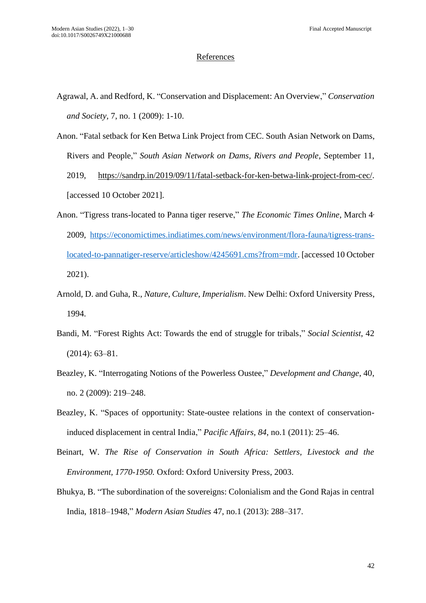### **References**

- Agrawal, A. and Redford, K. "Conservation and Displacement: An Overview," *Conservation and Society,* 7, no. 1 (2009): 1-10.
- Anon. "Fatal setback for Ken Betwa Link Project from CEC. South Asian Network on Dams, Rivers and People," *South Asian Network on Dams, Rivers and People*, September 11, 2019, [https://sandrp.in/2019/09/11/fatal-setback-for-ken-betwa-link-project-from-cec/.](https://sandrp.in/2019/09/11/fatal-setback-for-ken-betwa-link-project-from-cec/) [accessed 10 October 2021].
- Anon. "Tigress trans-located to Panna tiger reserve," *The Economic Times Online,* March 4, 2009*,* [https://economictimes.indiatimes.com/news/environment/flora-fauna/tigress-trans](https://economictimes.indiatimes.com/news/environment/flora-fauna/tigress-trans-located-to-pannatiger-reserve/articleshow/4245691.cms?from=mdr)[located-to-pannatiger-reserve/articleshow/4245691.cms?from=mdr.](https://economictimes.indiatimes.com/news/environment/flora-fauna/tigress-trans-located-to-pannatiger-reserve/articleshow/4245691.cms?from=mdr) [accessed 10 October 2021).
- Arnold, D. and Guha, R., *Nature, Culture, Imperialism*. New Delhi: Oxford University Press, 1994.
- Bandi, M. "Forest Rights Act: Towards the end of struggle for tribals," *Social Scientist*, 42 (2014): 63–81.
- Beazley, K. "Interrogating Notions of the Powerless Oustee," *Development and Change*, 40, no. 2 (2009): 219–248.
- Beazley, K. "Spaces of opportunity: State-oustee relations in the context of conservationinduced displacement in central India," *Pacific Affairs*, *84*, no.1 (2011): 25–46.
- Beinart, W. *The Rise of Conservation in South Africa: Settlers, Livestock and the Environment, 1770-1950.* Oxford: Oxford University Press, 2003.
- Bhukya, B. "The subordination of the sovereigns: Colonialism and the Gond Rajas in central India, 1818–1948," *Modern Asian Studies* 47, no.1 (2013): 288–317.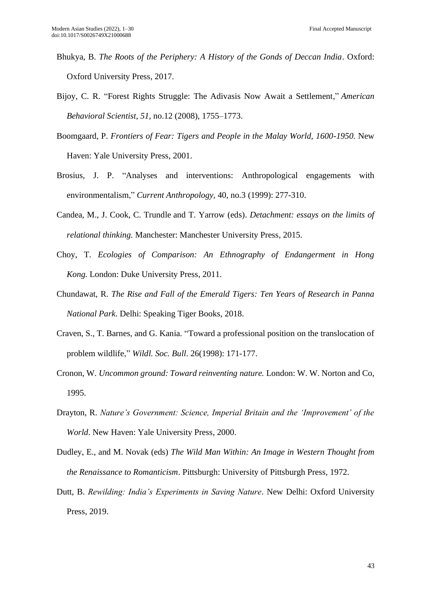- Bhukya, B. *The Roots of the Periphery: A History of the Gonds of Deccan India*. Oxford: Oxford University Press, 2017.
- Bijoy, C. R. "Forest Rights Struggle: The Adivasis Now Await a Settlement," *American Behavioral Scientist*, *51*, no.12 (2008), 1755–1773.
- Boomgaard, P. *Frontiers of Fear: Tigers and People in the Malay World, 1600-1950.* New Haven: Yale University Press, 2001.
- Brosius, J. P. "Analyses and interventions: Anthropological engagements with environmentalism," *Current Anthropology,* 40, no.3 (1999): 277-310.
- Candea, M., J. Cook, C. Trundle and T. Yarrow (eds). *Detachment: essays on the limits of relational thinking.* Manchester: Manchester University Press, 2015.
- Choy, T. *Ecologies of Comparison: An Ethnography of Endangerment in Hong Kong.* London: Duke University Press, 2011.
- Chundawat, R. *The Rise and Fall of the Emerald Tigers: Ten Years of Research in Panna National Park*. Delhi: Speaking Tiger Books, 2018.
- Craven, S., T. Barnes, and G. Kania. "Toward a professional position on the translocation of problem wildlife," *Wildl. Soc. Bull*. 26(1998): 171-177.
- Cronon, W. *Uncommon ground: Toward reinventing nature.* London: W. W. Norton and Co, 1995.
- Drayton, R. *Nature's Government: Science, Imperial Britain and the 'Improvement' of the World*. New Haven: Yale University Press, 2000.
- Dudley, E., and M. Novak (eds) *The Wild Man Within: An Image in Western Thought from the Renaissance to Romanticism*. Pittsburgh: University of Pittsburgh Press, 1972.
- Dutt, B. *Rewilding: India's Experiments in Saving Nature*. New Delhi: Oxford University Press, 2019.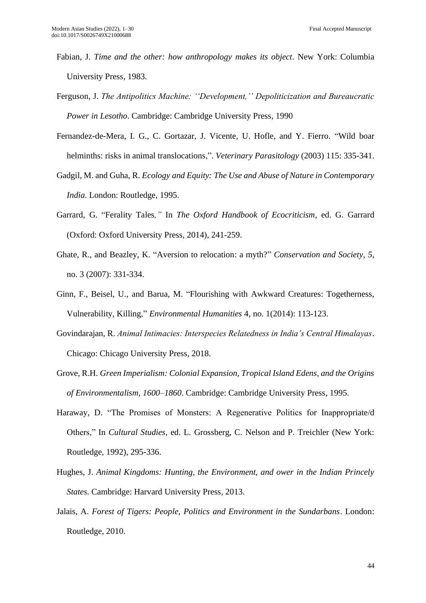- Fabian, J. *Time and the other: how anthropology makes its object*. New York: Columbia University Press, 1983.
- Ferguson, J. *The Antipolitics Machine: ''Development,'' Depoliticization and Bureaucratic Power in Lesotho*. Cambridge: Cambridge University Press, 1990
- Fernandez-de-Mera, I. G., C. Gortazar, J. Vicente, U. Hofle, and Y. Fierro. "Wild boar helminths: risks in animal translocations,". *Veterinary Parasitology* (2003) 115: 335-341.
- Gadgil, M. and Guha, R. *Ecology and Equity: The Use and Abuse of Nature in Contemporary India*. London: Routledge, 1995.
- Garrard, G. "Ferality Tales*,"* In *The Oxford Handbook of Ecocriticism,* ed. G. Garrard (Oxford: Oxford University Press, 2014), 241-259.
- Ghate, R., and Beazley, K. "Aversion to relocation: a myth?" *Conservation and Society*, *5*, no. 3 (2007): 331-334.
- Ginn, F., Beisel, U., and Barua, M. "Flourishing with Awkward Creatures: Togetherness, Vulnerability, Killing," *Environmental Humanities* 4, no. 1(2014): 113-123.
- Govindarajan, R. *Animal Intimacies: Interspecies Relatedness in India's Central Himalayas*. Chicago: Chicago University Press, 2018.
- Grove, R.H. *Green Imperialism: Colonial Expansion, Tropical Island Edens, and the Origins of Environmentalism, 1600–1860*. Cambridge: Cambridge University Press, 1995.
- Haraway, D. "The Promises of Monsters: A Regenerative Politics for Inappropriate/d Others," In *Cultural Studies*, ed. L. Grossberg, C. Nelson and P. Treichler (New York: Routledge, 1992), 295-336.
- Hughes, J. *Animal Kingdoms: Hunting, the Environment, and ower in the Indian Princely States*. Cambridge: Harvard University Press, 2013.
- Jalais, A. *Forest of Tigers: People, Politics and Environment in the Sundarbans*. London: Routledge, 2010.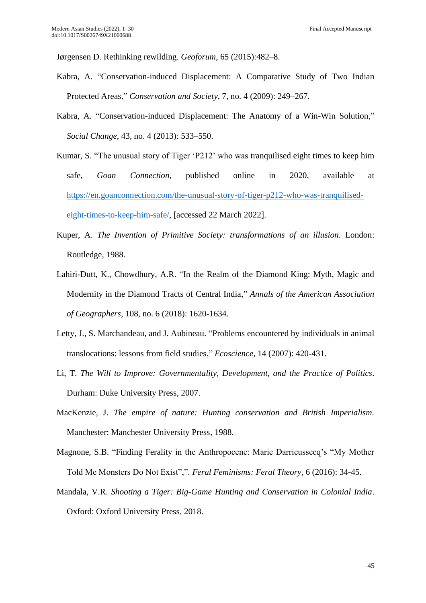Jørgensen D. Rethinking rewilding. *Geoforum*, 65 (2015):482–8.

- Kabra, A. "Conservation-induced Displacement: A Comparative Study of Two Indian Protected Areas," *Conservation and Society*, 7, no. 4 (2009): 249–267.
- Kabra, A. "Conservation-induced Displacement: The Anatomy of a Win-Win Solution," *Social Change*, 43, no. 4 (2013): 533–550.
- Kumar, S. "The unusual story of Tiger 'P212' who was tranquilised eight times to keep him safe, *Goan Connection*, published online in 2020, available at [https://en.goanconnection.com/the-unusual-story-of-tiger-p212-who-was-tranquilised](https://en.goanconnection.com/the-unusual-story-of-tiger-p212-who-was-tranquilised-eight-times-to-keep-him-safe/)[eight-times-to-keep-him-safe/,](https://en.goanconnection.com/the-unusual-story-of-tiger-p212-who-was-tranquilised-eight-times-to-keep-him-safe/) [accessed 22 March 2022].
- Kuper, A. *The Invention of Primitive Society: transformations of an illusion*. London: Routledge, 1988.
- Lahiri-Dutt, K., Chowdhury, A.R. "In the Realm of the Diamond King: Myth, Magic and Modernity in the Diamond Tracts of Central India," *Annals of the American Association of Geographers*, 108, no. 6 (2018): 1620-1634.
- Letty, J., S. Marchandeau, and J. Aubineau. "Problems encountered by individuals in animal translocations: lessons from field studies," *Ecoscience,* 14 (2007): 420-431.
- Li, T. *The Will to Improve: Governmentality, Development, and the Practice of Politics*. Durham: Duke University Press, 2007.
- MacKenzie, J. *The empire of nature: Hunting conservation and British Imperialism.*  Manchester: Manchester University Press, 1988.
- Magnone, S.B. "Finding Ferality in the Anthropocene: Marie Darrieussecq's "My Mother Told Me Monsters Do Not Exist",". *Feral Feminisms: Feral Theory,* 6 (2016): 34-45.
- Mandala, V.R. *Shooting a Tiger: Big-Game Hunting and Conservation in Colonial India*. Oxford: Oxford University Press, 2018.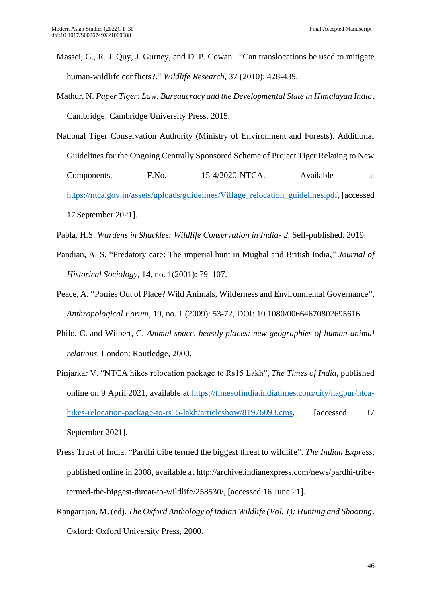- Massei, G., R. J. Quy, J. Gurney, and D. P. Cowan. "Can translocations be used to mitigate human-wildlife conflicts?," *Wildlife Research,* 37 (2010): 428-439.
- Mathur, N. *Paper Tiger: Law, Bureaucracy and the Developmental State in Himalayan India*. Cambridge: Cambridge University Press, 2015.
- National Tiger Conservation Authority (Ministry of Environment and Forests). Additional Guidelines for the Ongoing Centrally Sponsored Scheme of Project Tiger Relating to New Components, F.No. 15-4/2020-NTCA. Available at [https://ntca.gov.in/assets/uploads/guidelines/Village\\_relocation\\_guidelines.pdf,](https://ntca.gov.in/assets/uploads/guidelines/Village_relocation_guidelines.pdf) [accessed 17 September 2021].
- Pabla, H.S. *Wardens in Shackles: Wildlife Conservation in India- 2*. Self-published. 2019.
- Pandian, A. S. "Predatory care: The imperial hunt in Mughal and British India," *Journal of Historical Sociology*, 14*,* no. 1(2001): 79–107.
- Peace, A. "Ponies Out of Place? Wild Animals, Wilderness and Environmental Governance", *Anthropological Forum,* 19, no. 1 (2009): 53-72, DOI: [10.1080/00664670802695616](https://doi.org/10.1080/00664670802695616)
- Philo, C. and Wilbert, C. *Animal space, beastly places: new geographies of human-animal relations.* London: Routledge, 2000.
- Pinjarkar V. "NTCA hikes relocation package to Rs15 Lakh", *The Times of India,* published online on 9 April 2021, available at [https://timesofindia.indiatimes.com/city/nagpur/ntca](https://timesofindia.indiatimes.com/city/nagpur/ntca-hikes-relocation-package-to-rs15-lakh/articleshow/81976093.cms)[hikes-relocation-package-to-rs15-lakh/articleshow/81976093.cms,](https://timesofindia.indiatimes.com/city/nagpur/ntca-hikes-relocation-package-to-rs15-lakh/articleshow/81976093.cms) [accessed 17 September 2021].
- Press Trust of India. "Pardhi tribe termed the biggest threat to wildlife". *The Indian Express,*  published online in 2008, available at [http://archive.indianexpress.com/news/pardhi-tribe](http://archive.indianexpress.com/news/pardhi-tribe-termed-the-biggest-threat-to-wildlife/258530/)[termed-the-biggest-threat-to-wildlife/258530/,](http://archive.indianexpress.com/news/pardhi-tribe-termed-the-biggest-threat-to-wildlife/258530/) [accessed 16 June 21].
- Rangarajan, M. (ed). *The Oxford Anthology of Indian Wildlife (Vol. 1): Hunting and Shooting*. Oxford: Oxford University Press, 2000.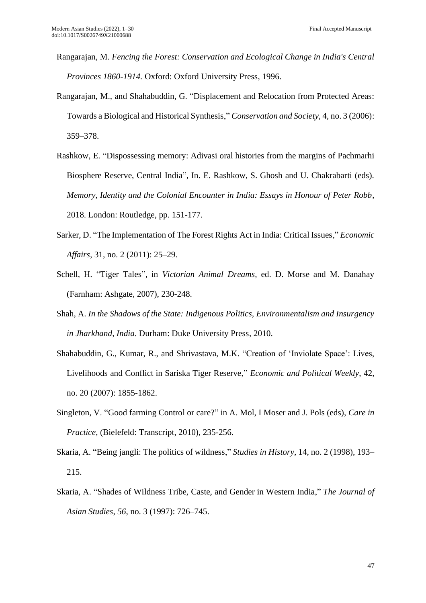- Rangarajan, M. *Fencing the Forest: Conservation and Ecological Change in India's Central Provinces 1860-1914.* Oxford: Oxford University Press, 1996.
- Rangarajan, M., and Shahabuddin, G. "Displacement and Relocation from Protected Areas: Towards a Biological and Historical Synthesis," *Conservation and Society*, 4, no. 3 (2006): 359–378.
- Rashkow, E. "Dispossessing memory: Adivasi oral histories from the margins of Pachmarhi Biosphere Reserve, Central India", In. E. Rashkow, S. Ghosh and U. Chakrabarti (eds). *Memory, Identity and the Colonial Encounter in India: Essays in Honour of Peter Robb*, 2018. London: Routledge, pp. 151-177.
- Sarker, D. "The Implementation of The Forest Rights Act in India: Critical Issues," *Economic Affairs,* 31, no. 2 (2011): 25–29.
- Schell, H. "Tiger Tales", in *Victorian Animal Dreams,* ed. D. Morse and M. Danahay (Farnham: Ashgate, 2007), 230-248.
- Shah, A. *In the Shadows of the State: Indigenous Politics, Environmentalism and Insurgency in Jharkhand, India*. Durham: Duke University Press, 2010.
- Shahabuddin, G., Kumar, R., and Shrivastava, M.K. "Creation of 'Inviolate Space': Lives, Livelihoods and Conflict in Sariska Tiger Reserve," *Economic and Political Weekly*, 42, no. 20 (2007): 1855-1862.
- Singleton, V. "Good farming Control or care?" in A. Mol, I Moser and J. Pols (eds), *Care in Practice*, (Bielefeld: Transcript, 2010), 235-256.
- Skaria, A. "Being jangli: The politics of wildness," *Studies in History*, 14, no. 2 (1998), 193– 215.
- Skaria, A. "Shades of Wildness Tribe, Caste, and Gender in Western India," *The Journal of Asian Studies*, *56*, no. 3 (1997): 726–745.